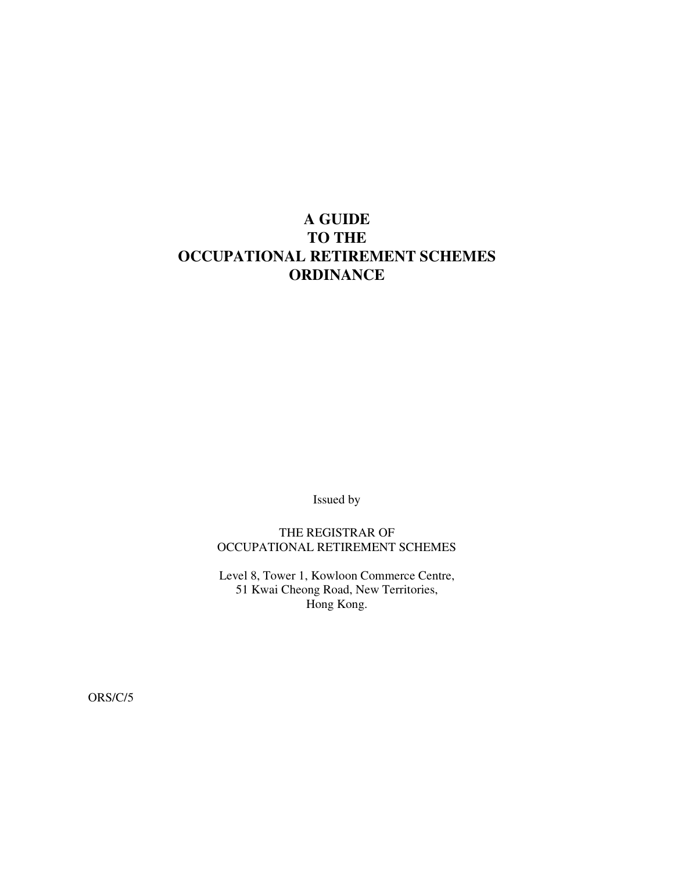# **A GUIDE TO THE OCCUPATIONAL RETIREMENT SCHEMES ORDINANCE**

Issued by

THE REGISTRAR OF OCCUPATIONAL RETIREMENT SCHEMES

Level 8, Tower 1, Kowloon Commerce Centre, 51 Kwai Cheong Road, New Territories, Hong Kong.

ORS/C/5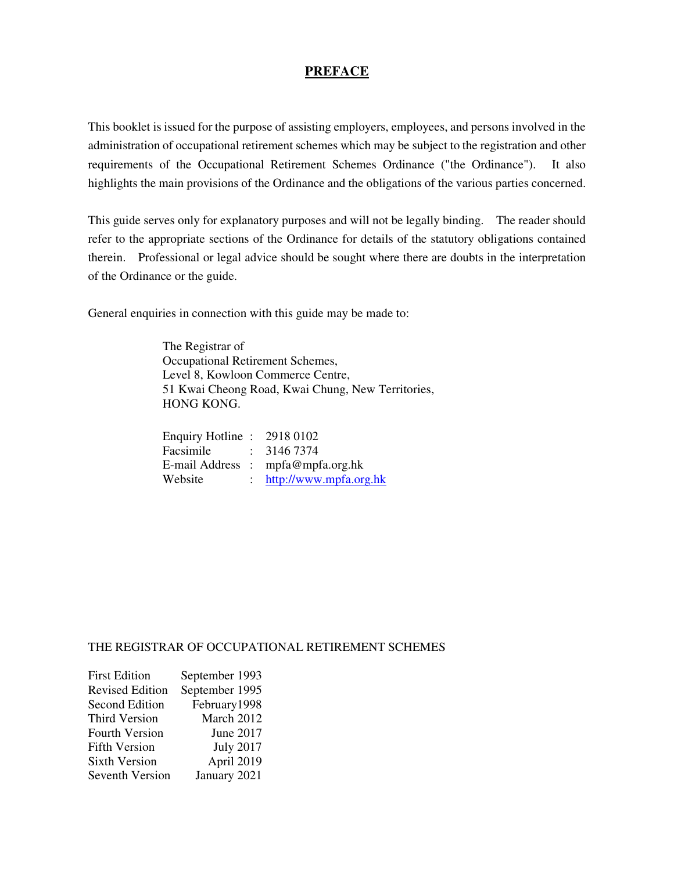#### **PREFACE**

This booklet is issued for the purpose of assisting employers, employees, and persons involved in the administration of occupational retirement schemes which may be subject to the registration and other requirements of the Occupational Retirement Schemes Ordinance ("the Ordinance"). It also highlights the main provisions of the Ordinance and the obligations of the various parties concerned.

This guide serves only for explanatory purposes and will not be legally binding. The reader should refer to the appropriate sections of the Ordinance for details of the statutory obligations contained therein. Professional or legal advice should be sought where there are doubts in the interpretation of the Ordinance or the guide.

General enquiries in connection with this guide may be made to:

 The Registrar of Occupational Retirement Schemes, Level 8, Kowloon Commerce Centre, 51 Kwai Cheong Road, Kwai Chung, New Territories, HONG KONG.

| Enquiry Hotline: 2918 0102 |                                   |
|----------------------------|-----------------------------------|
| Facsimile : 3146 7374      |                                   |
|                            | E-mail Address : mpfa@mpfa.org.hk |
| Website                    | : $http://www.mpfa.org.hk$        |

#### THE REGISTRAR OF OCCUPATIONAL RETIREMENT SCHEMES

| <b>First Edition</b>   | September 1993   |
|------------------------|------------------|
| <b>Revised Edition</b> | September 1995   |
| <b>Second Edition</b>  | February1998     |
| Third Version          | March 2012       |
| <b>Fourth Version</b>  | June 2017        |
| <b>Fifth Version</b>   | <b>July 2017</b> |
| <b>Sixth Version</b>   | April 2019       |
| Seventh Version        | January 2021     |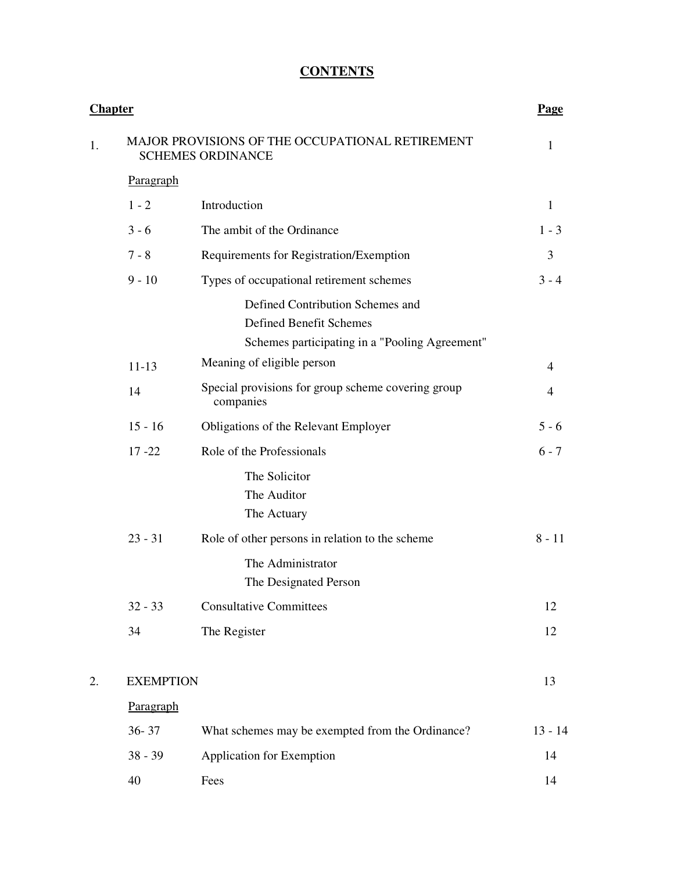# **CONTENTS**

|    | <b>Chapter</b>   |                                                                              | Page      |  |  |
|----|------------------|------------------------------------------------------------------------------|-----------|--|--|
| 1. |                  | MAJOR PROVISIONS OF THE OCCUPATIONAL RETIREMENT<br><b>SCHEMES ORDINANCE</b>  | 1         |  |  |
|    | Paragraph        |                                                                              |           |  |  |
|    | $1 - 2$          | Introduction                                                                 | 1         |  |  |
|    | $3 - 6$          | The ambit of the Ordinance                                                   | $1 - 3$   |  |  |
|    | $7 - 8$          | Requirements for Registration/Exemption                                      | 3         |  |  |
|    | $9 - 10$         | Types of occupational retirement schemes                                     | $3 - 4$   |  |  |
|    |                  | Defined Contribution Schemes and<br><b>Defined Benefit Schemes</b>           |           |  |  |
|    |                  | Schemes participating in a "Pooling Agreement"<br>Meaning of eligible person | 4         |  |  |
|    | $11 - 13$<br>14  | Special provisions for group scheme covering group<br>companies              | 4         |  |  |
|    | $15 - 16$        | Obligations of the Relevant Employer                                         | $5 - 6$   |  |  |
|    | $17 - 22$        | Role of the Professionals                                                    | $6 - 7$   |  |  |
|    |                  | The Solicitor<br>The Auditor<br>The Actuary                                  |           |  |  |
|    | $23 - 31$        | Role of other persons in relation to the scheme                              | $8 - 11$  |  |  |
|    |                  | The Administrator<br>The Designated Person                                   |           |  |  |
|    | $32 - 33$        | <b>Consultative Committees</b>                                               | 12        |  |  |
|    | 34               | The Register                                                                 | 12        |  |  |
| 2. | <b>EXEMPTION</b> | 13                                                                           |           |  |  |
|    | Paragraph        |                                                                              |           |  |  |
|    | $36 - 37$        | What schemes may be exempted from the Ordinance?                             | $13 - 14$ |  |  |
|    | $38 - 39$        | <b>Application for Exemption</b>                                             | 14        |  |  |
|    | 40               | Fees                                                                         | 14        |  |  |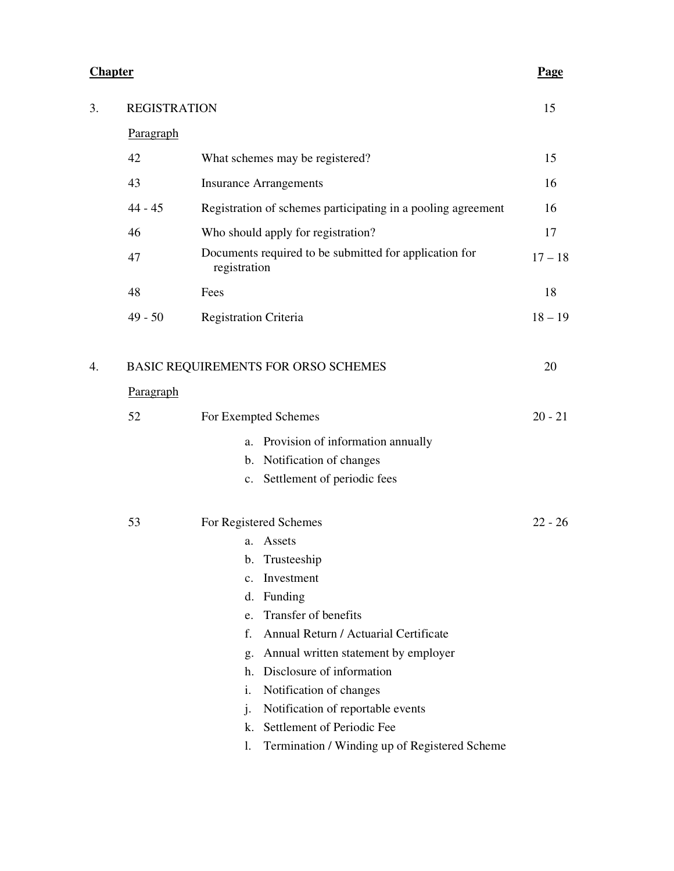#### **Chapter** Page **Page**

| 3. | <b>REGISTRATION</b> |                                                                        | 15        |
|----|---------------------|------------------------------------------------------------------------|-----------|
|    | Paragraph           |                                                                        |           |
|    | 42                  | What schemes may be registered?                                        | 15        |
|    | 43                  | <b>Insurance Arrangements</b>                                          | 16        |
|    | $44 - 45$           | Registration of schemes participating in a pooling agreement           | 16        |
|    | 46                  | Who should apply for registration?                                     | 17        |
|    | 47                  | Documents required to be submitted for application for<br>registration | $17 - 18$ |
|    | 48                  | Fees                                                                   | 18        |
|    | $49 - 50$           | <b>Registration Criteria</b>                                           | $18 - 19$ |
| 4. | Paragraph           | BASIC REQUIREMENTS FOR ORSO SCHEMES                                    | 20        |
|    | 52                  | For Exempted Schemes                                                   | $20 - 21$ |
|    |                     |                                                                        |           |
|    |                     | Provision of information annually<br>a.                                |           |
|    |                     | b. Notification of changes<br>c. Settlement of periodic fees           |           |
|    |                     |                                                                        |           |
|    | 53                  | For Registered Schemes                                                 | $22 - 26$ |
|    |                     | Assets<br>a.                                                           |           |
|    |                     | Trusteeship<br>b.                                                      |           |
|    |                     | c. Investment                                                          |           |
|    |                     | Funding<br>d.                                                          |           |
|    |                     | Transfer of benefits<br>e.                                             |           |
|    |                     | f.<br>Annual Return / Actuarial Certificate                            |           |
|    |                     | Annual written statement by employer<br>g.                             |           |
|    |                     | Disclosure of information<br>h.                                        |           |
|    |                     | i.<br>Notification of changes                                          |           |
|    |                     | Notification of reportable events<br>$\mathbf{j}$ .                    |           |
|    |                     | Settlement of Periodic Fee<br>k.                                       |           |
|    |                     |                                                                        |           |

l. Termination / Winding up of Registered Scheme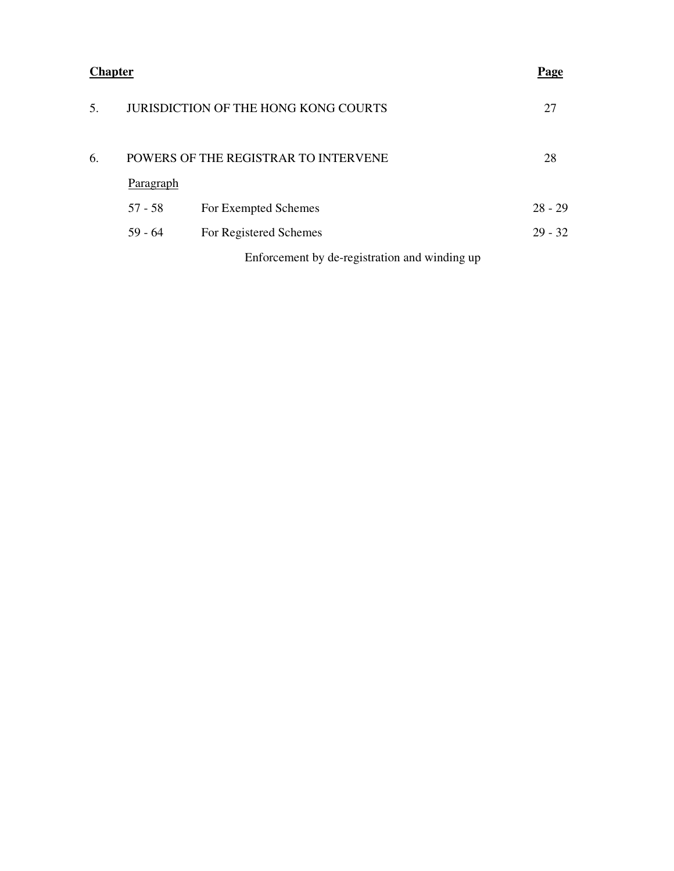| <b>Chapter</b> | <u>Page</u> |
|----------------|-------------|
|----------------|-------------|

| .5. | <b>JURISDICTION OF THE HONG KONG COURTS</b> |                                               |           |  |  |
|-----|---------------------------------------------|-----------------------------------------------|-----------|--|--|
| 6.  | POWERS OF THE REGISTRAR TO INTERVENE        |                                               |           |  |  |
|     | Paragraph                                   |                                               |           |  |  |
|     | $57 - 58$                                   | For Exempted Schemes                          | $28 - 29$ |  |  |
|     | $59 - 64$                                   | For Registered Schemes                        | $29 - 32$ |  |  |
|     |                                             | Enforcement by de-registration and winding up |           |  |  |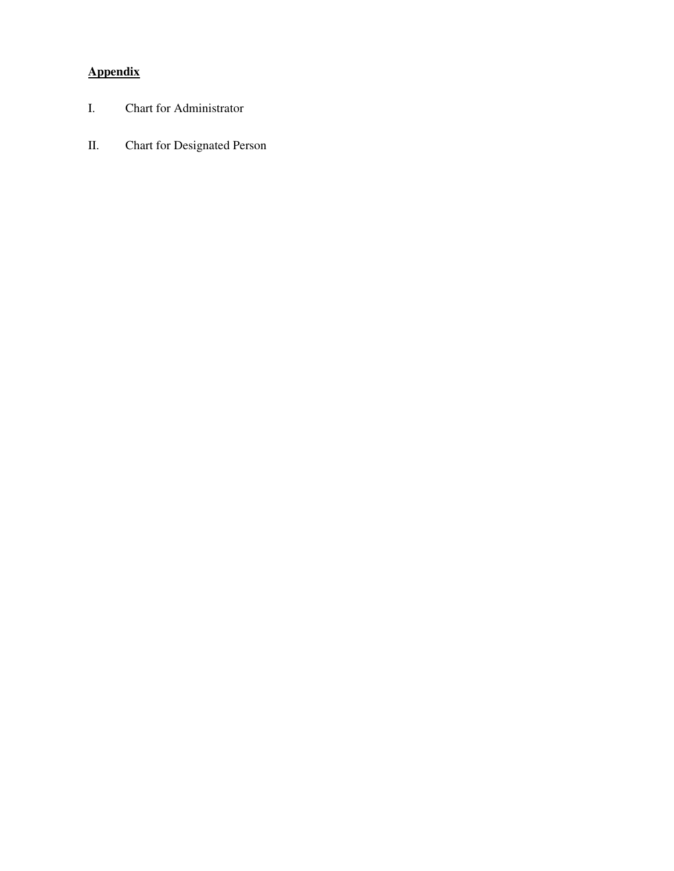# **Appendix**

- I. Chart for Administrator
- II. Chart for Designated Person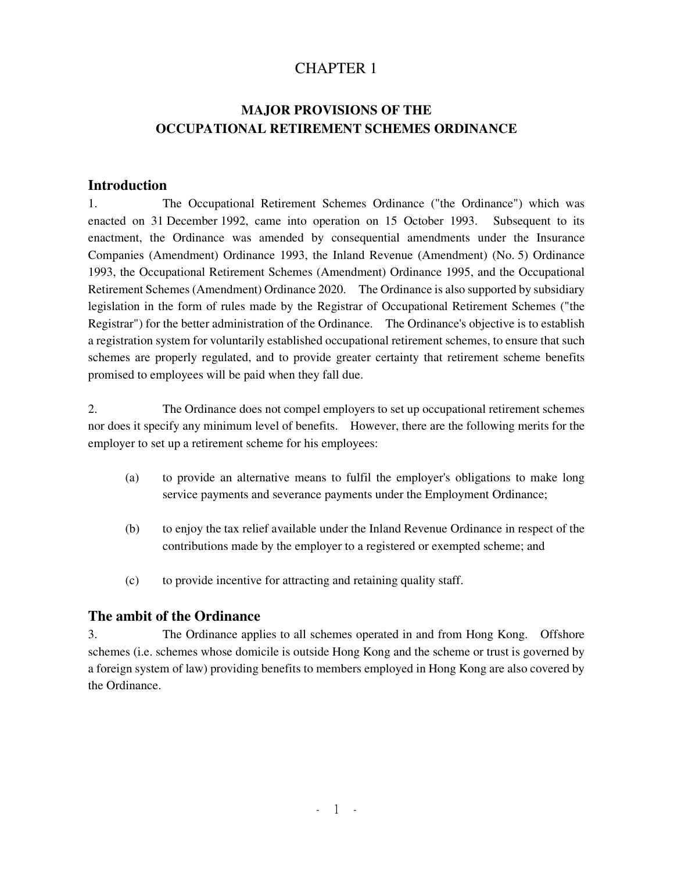# CHAPTER 1

# **MAJOR PROVISIONS OF THE OCCUPATIONAL RETIREMENT SCHEMES ORDINANCE**

#### **Introduction**

1. The Occupational Retirement Schemes Ordinance ("the Ordinance") which was enacted on 31 December 1992, came into operation on 15 October 1993. Subsequent to its enactment, the Ordinance was amended by consequential amendments under the Insurance Companies (Amendment) Ordinance 1993, the Inland Revenue (Amendment) (No. 5) Ordinance 1993, the Occupational Retirement Schemes (Amendment) Ordinance 1995, and the Occupational Retirement Schemes (Amendment) Ordinance 2020. The Ordinance is also supported by subsidiary legislation in the form of rules made by the Registrar of Occupational Retirement Schemes ("the Registrar") for the better administration of the Ordinance. The Ordinance's objective is to establish a registration system for voluntarily established occupational retirement schemes, to ensure that such schemes are properly regulated, and to provide greater certainty that retirement scheme benefits promised to employees will be paid when they fall due.

2. The Ordinance does not compel employers to set up occupational retirement schemes nor does it specify any minimum level of benefits. However, there are the following merits for the employer to set up a retirement scheme for his employees:

- (a) to provide an alternative means to fulfil the employer's obligations to make long service payments and severance payments under the Employment Ordinance;
- (b) to enjoy the tax relief available under the Inland Revenue Ordinance in respect of the contributions made by the employer to a registered or exempted scheme; and
- (c) to provide incentive for attracting and retaining quality staff.

#### **The ambit of the Ordinance**

3. The Ordinance applies to all schemes operated in and from Hong Kong. Offshore schemes (i.e. schemes whose domicile is outside Hong Kong and the scheme or trust is governed by a foreign system of law) providing benefits to members employed in Hong Kong are also covered by the Ordinance.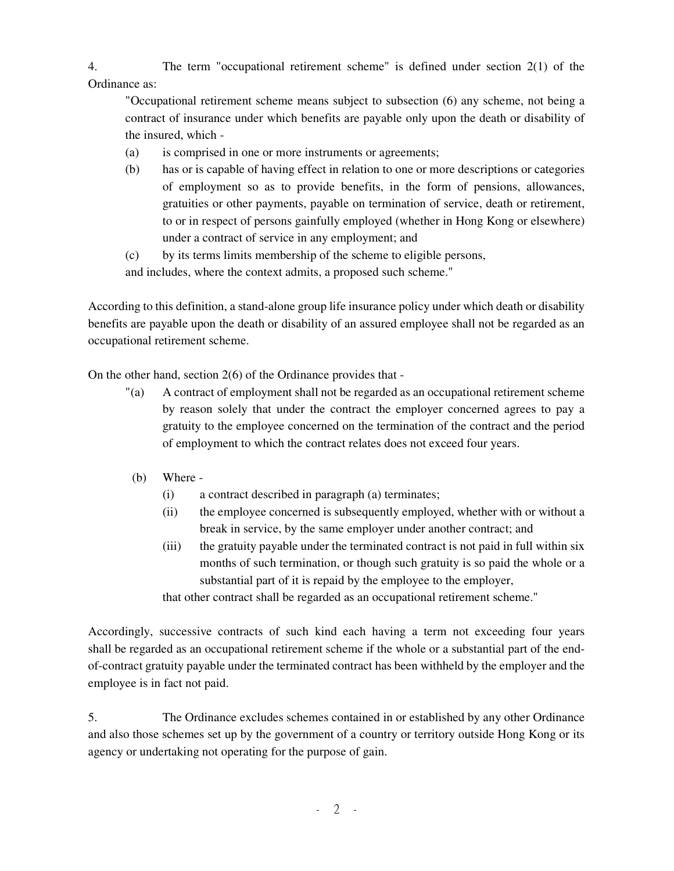4. The term "occupational retirement scheme" is defined under section 2(1) of the Ordinance as:

"Occupational retirement scheme means subject to subsection (6) any scheme, not being a contract of insurance under which benefits are payable only upon the death or disability of the insured, which -

- (a) is comprised in one or more instruments or agreements;
- (b) has or is capable of having effect in relation to one or more descriptions or categories of employment so as to provide benefits, in the form of pensions, allowances, gratuities or other payments, payable on termination of service, death or retirement, to or in respect of persons gainfully employed (whether in Hong Kong or elsewhere) under a contract of service in any employment; and
- (c) by its terms limits membership of the scheme to eligible persons, and includes, where the context admits, a proposed such scheme."

According to this definition, a stand-alone group life insurance policy under which death or disability benefits are payable upon the death or disability of an assured employee shall not be regarded as an occupational retirement scheme.

On the other hand, section 2(6) of the Ordinance provides that -

- "(a) A contract of employment shall not be regarded as an occupational retirement scheme by reason solely that under the contract the employer concerned agrees to pay a gratuity to the employee concerned on the termination of the contract and the period of employment to which the contract relates does not exceed four years.
- (b) Where
	- (i) a contract described in paragraph (a) terminates;
	- (ii) the employee concerned is subsequently employed, whether with or without a break in service, by the same employer under another contract; and
	- (iii) the gratuity payable under the terminated contract is not paid in full within six months of such termination, or though such gratuity is so paid the whole or a substantial part of it is repaid by the employee to the employer,

that other contract shall be regarded as an occupational retirement scheme."

Accordingly, successive contracts of such kind each having a term not exceeding four years shall be regarded as an occupational retirement scheme if the whole or a substantial part of the endof-contract gratuity payable under the terminated contract has been withheld by the employer and the employee is in fact not paid.

5. The Ordinance excludes schemes contained in or established by any other Ordinance and also those schemes set up by the government of a country or territory outside Hong Kong or its agency or undertaking not operating for the purpose of gain.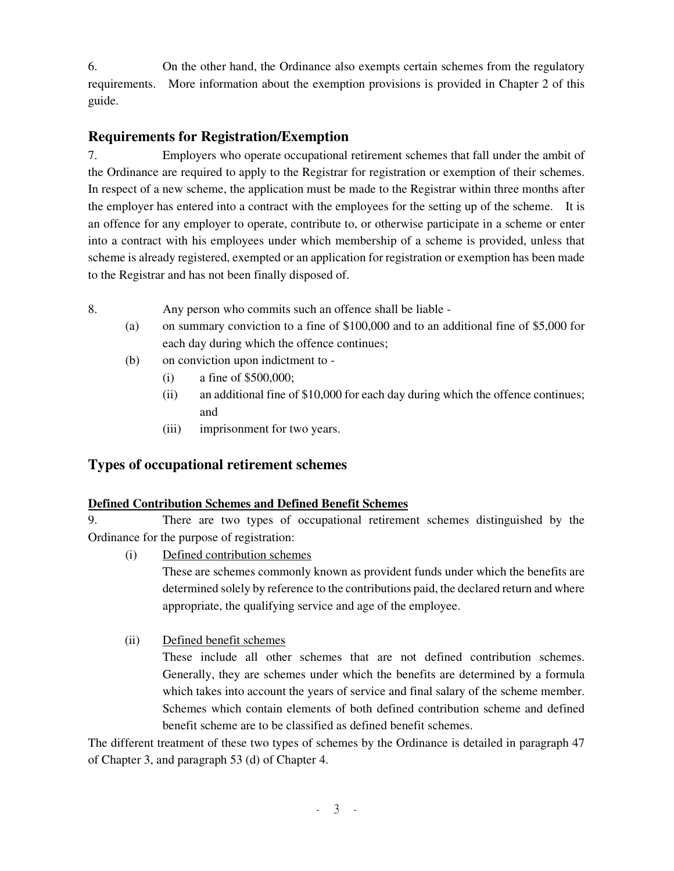6. On the other hand, the Ordinance also exempts certain schemes from the regulatory requirements. More information about the exemption provisions is provided in Chapter 2 of this guide.

# **Requirements for Registration/Exemption**

7. Employers who operate occupational retirement schemes that fall under the ambit of the Ordinance are required to apply to the Registrar for registration or exemption of their schemes. In respect of a new scheme, the application must be made to the Registrar within three months after the employer has entered into a contract with the employees for the setting up of the scheme. It is an offence for any employer to operate, contribute to, or otherwise participate in a scheme or enter into a contract with his employees under which membership of a scheme is provided, unless that scheme is already registered, exempted or an application for registration or exemption has been made to the Registrar and has not been finally disposed of.

- 8. Any person who commits such an offence shall be liable
	- (a) on summary conviction to a fine of \$100,000 and to an additional fine of \$5,000 for each day during which the offence continues;
	- (b) on conviction upon indictment to
		- (i) a fine of \$500,000;
		- (ii) an additional fine of \$10,000 for each day during which the offence continues; and
		- (iii) imprisonment for two years.

# **Types of occupational retirement schemes**

## **Defined Contribution Schemes and Defined Benefit Schemes**

9. There are two types of occupational retirement schemes distinguished by the Ordinance for the purpose of registration:

(i) Defined contribution schemes

These are schemes commonly known as provident funds under which the benefits are determined solely by reference to the contributions paid, the declared return and where appropriate, the qualifying service and age of the employee.

(ii) Defined benefit schemes

These include all other schemes that are not defined contribution schemes. Generally, they are schemes under which the benefits are determined by a formula which takes into account the years of service and final salary of the scheme member. Schemes which contain elements of both defined contribution scheme and defined benefit scheme are to be classified as defined benefit schemes.

The different treatment of these two types of schemes by the Ordinance is detailed in paragraph 47 of Chapter 3, and paragraph 53 (d) of Chapter 4.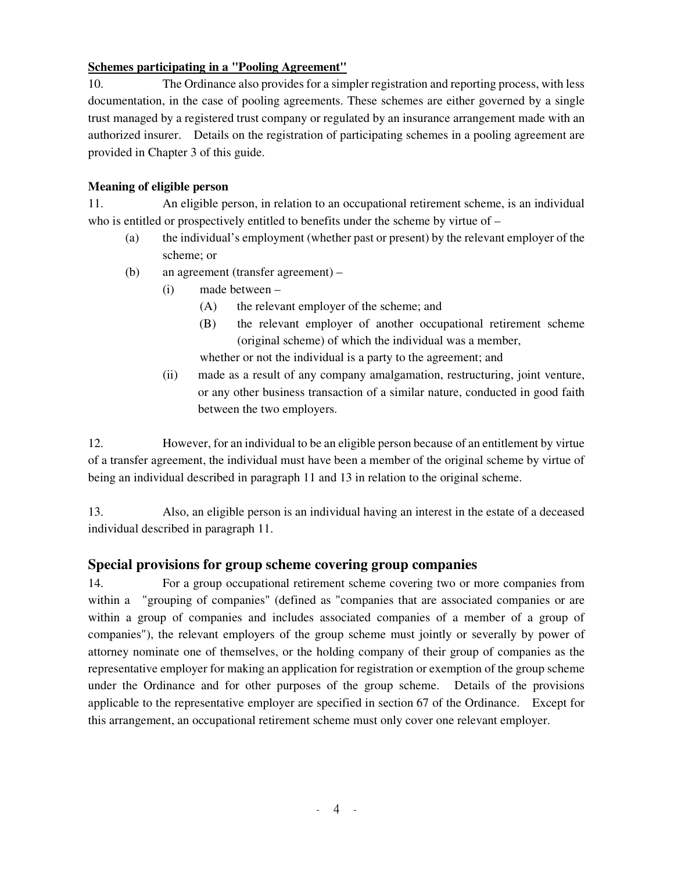## **Schemes participating in a "Pooling Agreement"**

10. The Ordinance also provides for a simpler registration and reporting process, with less documentation, in the case of pooling agreements. These schemes are either governed by a single trust managed by a registered trust company or regulated by an insurance arrangement made with an authorized insurer. Details on the registration of participating schemes in a pooling agreement are provided in Chapter 3 of this guide.

#### **Meaning of eligible person**

11. An eligible person, in relation to an occupational retirement scheme, is an individual who is entitled or prospectively entitled to benefits under the scheme by virtue of  $-$ 

- (a) the individual's employment (whether past or present) by the relevant employer of the scheme; or
- (b) an agreement (transfer agreement)
	- (i) made between
		- (A) the relevant employer of the scheme; and
		- (B) the relevant employer of another occupational retirement scheme (original scheme) of which the individual was a member,

whether or not the individual is a party to the agreement; and

(ii) made as a result of any company amalgamation, restructuring, joint venture, or any other business transaction of a similar nature, conducted in good faith between the two employers.

12. However, for an individual to be an eligible person because of an entitlement by virtue of a transfer agreement, the individual must have been a member of the original scheme by virtue of being an individual described in paragraph 11 and 13 in relation to the original scheme.

13. Also, an eligible person is an individual having an interest in the estate of a deceased individual described in paragraph 11.

# **Special provisions for group scheme covering group companies**

14. For a group occupational retirement scheme covering two or more companies from within a "grouping of companies" (defined as "companies that are associated companies or are within a group of companies and includes associated companies of a member of a group of companies"), the relevant employers of the group scheme must jointly or severally by power of attorney nominate one of themselves, or the holding company of their group of companies as the representative employer for making an application for registration or exemption of the group scheme under the Ordinance and for other purposes of the group scheme. Details of the provisions applicable to the representative employer are specified in section 67 of the Ordinance. Except for this arrangement, an occupational retirement scheme must only cover one relevant employer.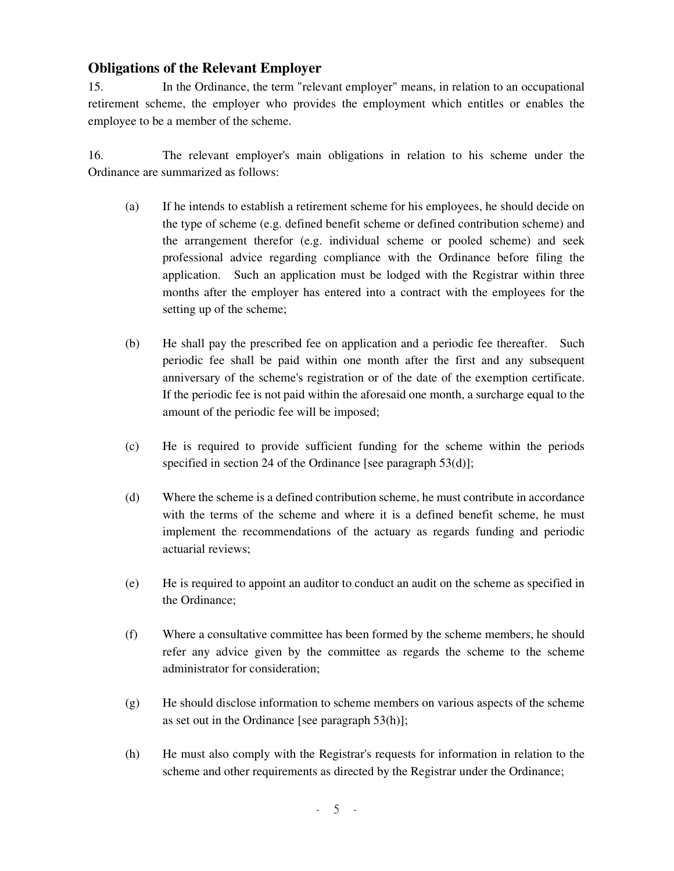## **Obligations of the Relevant Employer**

15. In the Ordinance, the term "relevant employer" means, in relation to an occupational retirement scheme, the employer who provides the employment which entitles or enables the employee to be a member of the scheme.

16. The relevant employer's main obligations in relation to his scheme under the Ordinance are summarized as follows:

- (a) If he intends to establish a retirement scheme for his employees, he should decide on the type of scheme (e.g. defined benefit scheme or defined contribution scheme) and the arrangement therefor (e.g. individual scheme or pooled scheme) and seek professional advice regarding compliance with the Ordinance before filing the application. Such an application must be lodged with the Registrar within three months after the employer has entered into a contract with the employees for the setting up of the scheme;
- (b) He shall pay the prescribed fee on application and a periodic fee thereafter. Such periodic fee shall be paid within one month after the first and any subsequent anniversary of the scheme's registration or of the date of the exemption certificate. If the periodic fee is not paid within the aforesaid one month, a surcharge equal to the amount of the periodic fee will be imposed;
- (c) He is required to provide sufficient funding for the scheme within the periods specified in section 24 of the Ordinance [see paragraph 53(d)];
- (d) Where the scheme is a defined contribution scheme, he must contribute in accordance with the terms of the scheme and where it is a defined benefit scheme, he must implement the recommendations of the actuary as regards funding and periodic actuarial reviews;
- (e) He is required to appoint an auditor to conduct an audit on the scheme as specified in the Ordinance;
- (f) Where a consultative committee has been formed by the scheme members, he should refer any advice given by the committee as regards the scheme to the scheme administrator for consideration;
- (g) He should disclose information to scheme members on various aspects of the scheme as set out in the Ordinance [see paragraph 53(h)];
- (h) He must also comply with the Registrar's requests for information in relation to the scheme and other requirements as directed by the Registrar under the Ordinance;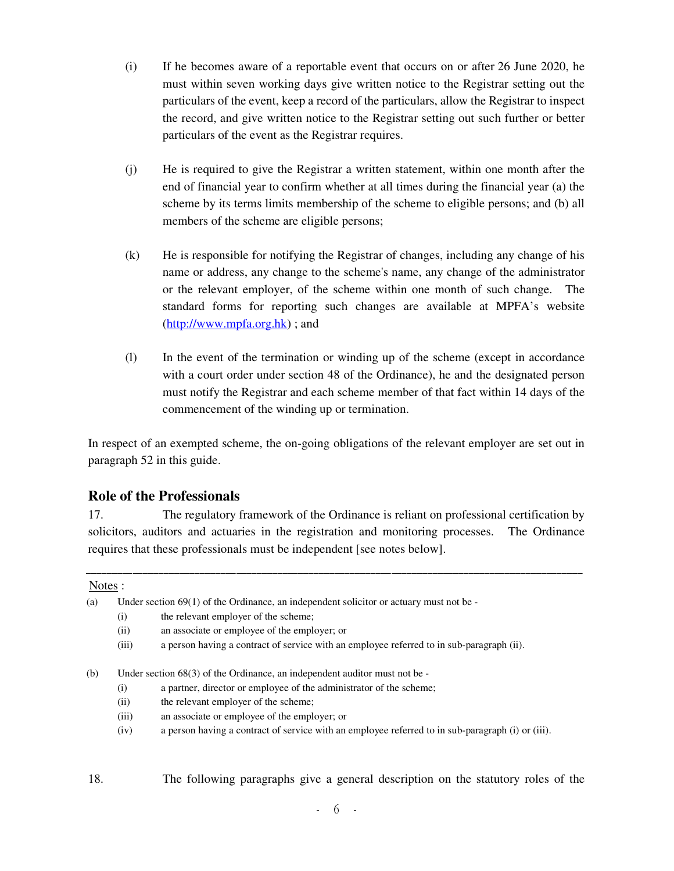- (i) If he becomes aware of a reportable event that occurs on or after 26 June 2020, he must within seven working days give written notice to the Registrar setting out the particulars of the event, keep a record of the particulars, allow the Registrar to inspect the record, and give written notice to the Registrar setting out such further or better particulars of the event as the Registrar requires.
- (j) He is required to give the Registrar a written statement, within one month after the end of financial year to confirm whether at all times during the financial year (a) the scheme by its terms limits membership of the scheme to eligible persons; and (b) all members of the scheme are eligible persons;
- (k) He is responsible for notifying the Registrar of changes, including any change of his name or address, any change to the scheme's name, any change of the administrator or the relevant employer, of the scheme within one month of such change. The standard forms for reporting such changes are available at MPFA's website (http://www.mpfa.org.hk) ; and
- (l) In the event of the termination or winding up of the scheme (except in accordance with a court order under section 48 of the Ordinance), he and the designated person must notify the Registrar and each scheme member of that fact within 14 days of the commencement of the winding up or termination.

In respect of an exempted scheme, the on-going obligations of the relevant employer are set out in paragraph 52 in this guide.

# **Role of the Professionals**

17. The regulatory framework of the Ordinance is reliant on professional certification by solicitors, auditors and actuaries in the registration and monitoring processes. The Ordinance requires that these professionals must be independent [see notes below].

#### Notes :

- (a) Under section 69(1) of the Ordinance, an independent solicitor or actuary must not be
	- (i) the relevant employer of the scheme;
	- (ii) an associate or employee of the employer; or
	- (iii) a person having a contract of service with an employee referred to in sub-paragraph (ii).

(b) Under section 68(3) of the Ordinance, an independent auditor must not be -

- (i) a partner, director or employee of the administrator of the scheme;
- (ii) the relevant employer of the scheme;
- (iii) an associate or employee of the employer; or
- (iv) a person having a contract of service with an employee referred to in sub-paragraph (i) or (iii).

18. The following paragraphs give a general description on the statutory roles of the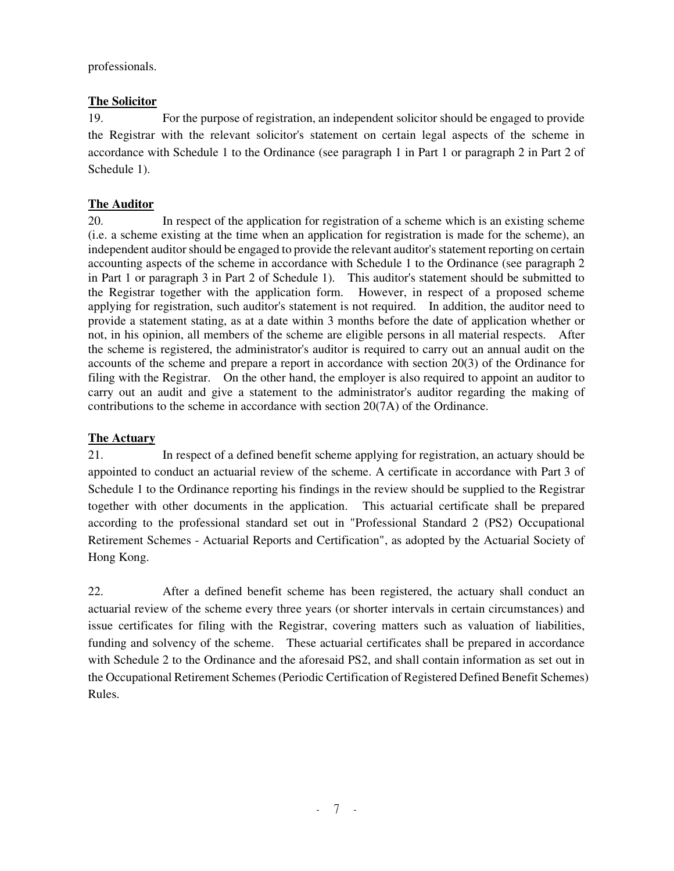professionals.

## **The Solicitor**

19. For the purpose of registration, an independent solicitor should be engaged to provide the Registrar with the relevant solicitor's statement on certain legal aspects of the scheme in accordance with Schedule 1 to the Ordinance (see paragraph 1 in Part 1 or paragraph 2 in Part 2 of Schedule 1).

## **The Auditor**

20. In respect of the application for registration of a scheme which is an existing scheme (i.e. a scheme existing at the time when an application for registration is made for the scheme), an independent auditor should be engaged to provide the relevant auditor's statement reporting on certain accounting aspects of the scheme in accordance with Schedule 1 to the Ordinance (see paragraph 2 in Part 1 or paragraph 3 in Part 2 of Schedule 1). This auditor's statement should be submitted to the Registrar together with the application form. However, in respect of a proposed scheme applying for registration, such auditor's statement is not required. In addition, the auditor need to provide a statement stating, as at a date within 3 months before the date of application whether or not, in his opinion, all members of the scheme are eligible persons in all material respects. After the scheme is registered, the administrator's auditor is required to carry out an annual audit on the accounts of the scheme and prepare a report in accordance with section 20(3) of the Ordinance for filing with the Registrar. On the other hand, the employer is also required to appoint an auditor to carry out an audit and give a statement to the administrator's auditor regarding the making of contributions to the scheme in accordance with section 20(7A) of the Ordinance.

#### **The Actuary**

21. In respect of a defined benefit scheme applying for registration, an actuary should be appointed to conduct an actuarial review of the scheme. A certificate in accordance with Part 3 of Schedule 1 to the Ordinance reporting his findings in the review should be supplied to the Registrar together with other documents in the application. This actuarial certificate shall be prepared according to the professional standard set out in "Professional Standard 2 (PS2) Occupational Retirement Schemes - Actuarial Reports and Certification", as adopted by the Actuarial Society of Hong Kong.

22. After a defined benefit scheme has been registered, the actuary shall conduct an actuarial review of the scheme every three years (or shorter intervals in certain circumstances) and issue certificates for filing with the Registrar, covering matters such as valuation of liabilities, funding and solvency of the scheme. These actuarial certificates shall be prepared in accordance with Schedule 2 to the Ordinance and the aforesaid PS2, and shall contain information as set out in the Occupational Retirement Schemes (Periodic Certification of Registered Defined Benefit Schemes) Rules.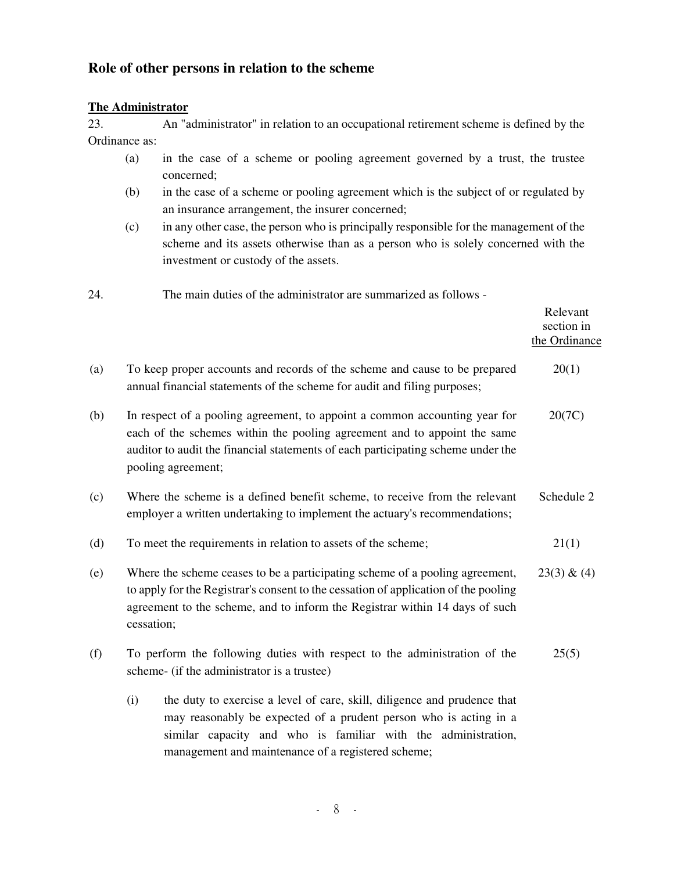# **Role of other persons in relation to the scheme**

#### **The Administrator**

23. An "administrator" in relation to an occupational retirement scheme is defined by the Ordinance as:

- (a) in the case of a scheme or pooling agreement governed by a trust, the trustee concerned;
- (b) in the case of a scheme or pooling agreement which is the subject of or regulated by an insurance arrangement, the insurer concerned;
- (c) in any other case, the person who is principally responsible for the management of the scheme and its assets otherwise than as a person who is solely concerned with the investment or custody of the assets.
- 24. The main duties of the administrator are summarized as follows -

|     |                                                                                                                                                                                                                                                                             | Relevant<br>section in<br>the Ordinance |
|-----|-----------------------------------------------------------------------------------------------------------------------------------------------------------------------------------------------------------------------------------------------------------------------------|-----------------------------------------|
| (a) | To keep proper accounts and records of the scheme and cause to be prepared<br>annual financial statements of the scheme for audit and filing purposes;                                                                                                                      | 20(1)                                   |
| (b) | In respect of a pooling agreement, to appoint a common accounting year for<br>each of the schemes within the pooling agreement and to appoint the same<br>auditor to audit the financial statements of each participating scheme under the<br>pooling agreement;            | 20(7C)                                  |
| (c) | Where the scheme is a defined benefit scheme, to receive from the relevant<br>employer a written undertaking to implement the actuary's recommendations;                                                                                                                    | Schedule 2                              |
| (d) | To meet the requirements in relation to assets of the scheme;                                                                                                                                                                                                               | 21(1)                                   |
| (e) | Where the scheme ceases to be a participating scheme of a pooling agreement,<br>to apply for the Registrar's consent to the cessation of application of the pooling<br>agreement to the scheme, and to inform the Registrar within 14 days of such<br>cessation;            |                                         |
| (f) | To perform the following duties with respect to the administration of the<br>scheme- (if the administrator is a trustee)                                                                                                                                                    | 25(5)                                   |
|     | (i)<br>the duty to exercise a level of care, skill, diligence and prudence that<br>may reasonably be expected of a prudent person who is acting in a<br>similar capacity and who is familiar with the administration,<br>management and maintenance of a registered scheme; |                                         |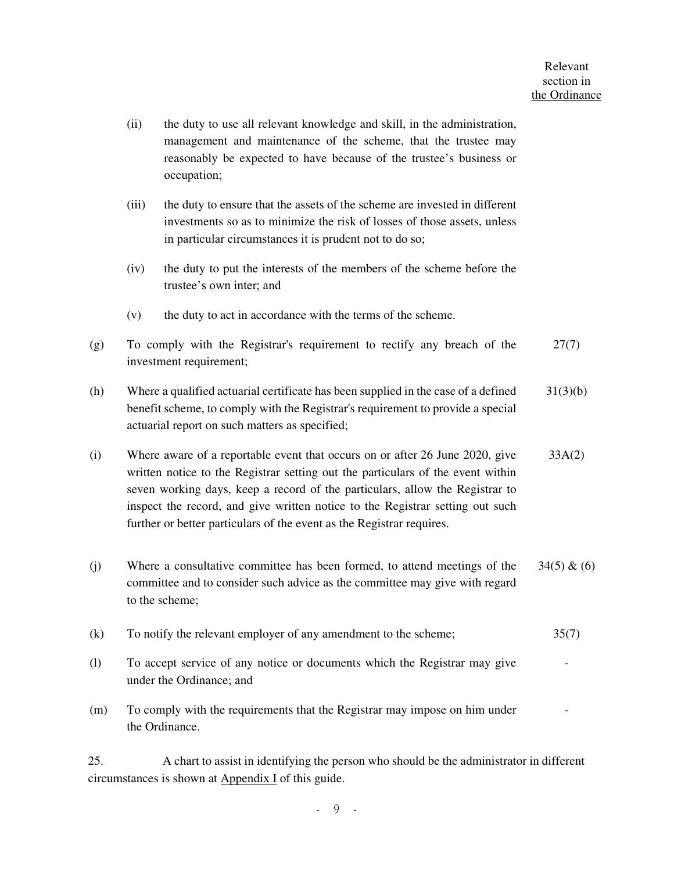(ii) the duty to use all relevant knowledge and skill, in the administration, management and maintenance of the scheme, that the trustee may reasonably be expected to have because of the trustee's business or occupation; (iii) the duty to ensure that the assets of the scheme are invested in different investments so as to minimize the risk of losses of those assets, unless in particular circumstances it is prudent not to do so; (iv) the duty to put the interests of the members of the scheme before the trustee's own inter; and (v) the duty to act in accordance with the terms of the scheme. (g) To comply with the Registrar's requirement to rectify any breach of the investment requirement; 27(7) (h) Where a qualified actuarial certificate has been supplied in the case of a defined benefit scheme, to comply with the Registrar's requirement to provide a special actuarial report on such matters as specified; 31(3)(b) (i) Where aware of a reportable event that occurs on or after 26 June 2020, give written notice to the Registrar setting out the particulars of the event within seven working days, keep a record of the particulars, allow the Registrar to inspect the record, and give written notice to the Registrar setting out such further or better particulars of the event as the Registrar requires. 33A(2) (j) Where a consultative committee has been formed, to attend meetings of the committee and to consider such advice as the committee may give with regard to the scheme;  $34(5) & (6)$ (k) To notify the relevant employer of any amendment to the scheme; 35(7) (l) To accept service of any notice or documents which the Registrar may give under the Ordinance; and - (m) To comply with the requirements that the Registrar may impose on him under the Ordinance. -

25. A chart to assist in identifying the person who should be the administrator in different circumstances is shown at Appendix I of this guide.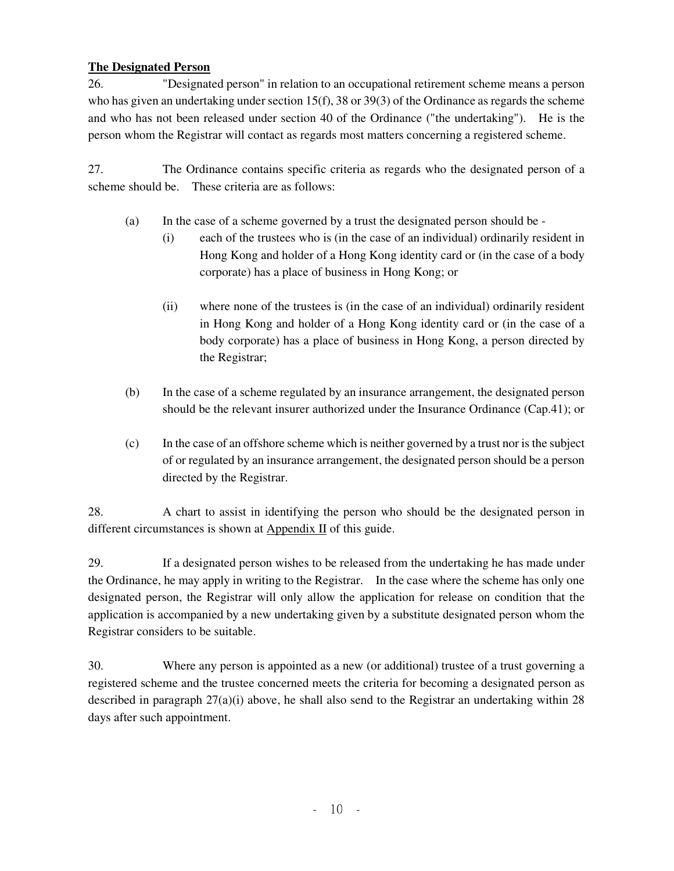## **The Designated Person**

26. "Designated person" in relation to an occupational retirement scheme means a person who has given an undertaking under section  $15(f)$ , 38 or 39(3) of the Ordinance as regards the scheme and who has not been released under section 40 of the Ordinance ("the undertaking"). He is the person whom the Registrar will contact as regards most matters concerning a registered scheme.

27. The Ordinance contains specific criteria as regards who the designated person of a scheme should be. These criteria are as follows:

- (a) In the case of a scheme governed by a trust the designated person should be
	- (i) each of the trustees who is (in the case of an individual) ordinarily resident in Hong Kong and holder of a Hong Kong identity card or (in the case of a body corporate) has a place of business in Hong Kong; or
	- (ii) where none of the trustees is (in the case of an individual) ordinarily resident in Hong Kong and holder of a Hong Kong identity card or (in the case of a body corporate) has a place of business in Hong Kong, a person directed by the Registrar;
- (b) In the case of a scheme regulated by an insurance arrangement, the designated person should be the relevant insurer authorized under the Insurance Ordinance (Cap.41); or
- (c) In the case of an offshore scheme which is neither governed by a trust nor is the subject of or regulated by an insurance arrangement, the designated person should be a person directed by the Registrar.

28. A chart to assist in identifying the person who should be the designated person in different circumstances is shown at  $\Delta$ ppendix II of this guide.

29. If a designated person wishes to be released from the undertaking he has made under the Ordinance, he may apply in writing to the Registrar. In the case where the scheme has only one designated person, the Registrar will only allow the application for release on condition that the application is accompanied by a new undertaking given by a substitute designated person whom the Registrar considers to be suitable.

30. Where any person is appointed as a new (or additional) trustee of a trust governing a registered scheme and the trustee concerned meets the criteria for becoming a designated person as described in paragraph 27(a)(i) above, he shall also send to the Registrar an undertaking within 28 days after such appointment.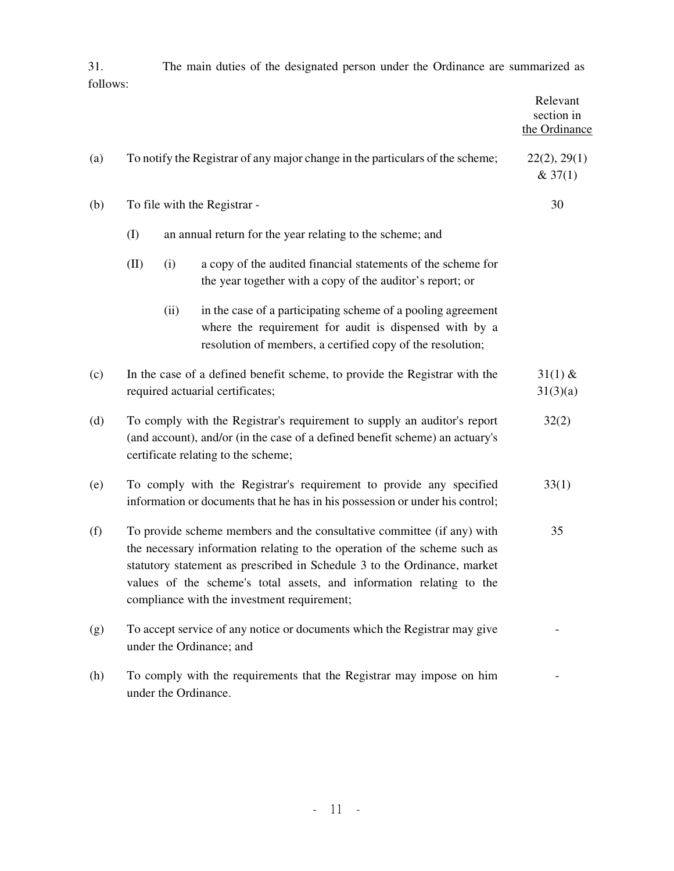31. The main duties of the designated person under the Ordinance are summarized as follows:

|     |                                                                                                                                                                                                                                                                                                                                                              |                              |                                                                                                                                                                                      | Relevant<br>section in<br>the Ordinance |
|-----|--------------------------------------------------------------------------------------------------------------------------------------------------------------------------------------------------------------------------------------------------------------------------------------------------------------------------------------------------------------|------------------------------|--------------------------------------------------------------------------------------------------------------------------------------------------------------------------------------|-----------------------------------------|
| (a) | To notify the Registrar of any major change in the particulars of the scheme;                                                                                                                                                                                                                                                                                | 22(2), 29(1)<br>& 37(1)      |                                                                                                                                                                                      |                                         |
| (b) |                                                                                                                                                                                                                                                                                                                                                              | To file with the Registrar - |                                                                                                                                                                                      |                                         |
|     | (I)                                                                                                                                                                                                                                                                                                                                                          |                              |                                                                                                                                                                                      |                                         |
|     | (II)                                                                                                                                                                                                                                                                                                                                                         | (i)                          | a copy of the audited financial statements of the scheme for<br>the year together with a copy of the auditor's report; or                                                            |                                         |
|     |                                                                                                                                                                                                                                                                                                                                                              | (ii)                         | in the case of a participating scheme of a pooling agreement<br>where the requirement for audit is dispensed with by a<br>resolution of members, a certified copy of the resolution; |                                         |
| (c) | In the case of a defined benefit scheme, to provide the Registrar with the<br>required actuarial certificates;                                                                                                                                                                                                                                               |                              |                                                                                                                                                                                      |                                         |
| (d) | To comply with the Registrar's requirement to supply an auditor's report<br>32(2)<br>(and account), and/or (in the case of a defined benefit scheme) an actuary's<br>certificate relating to the scheme;                                                                                                                                                     |                              |                                                                                                                                                                                      |                                         |
| (e) | To comply with the Registrar's requirement to provide any specified<br>33(1)<br>information or documents that he has in his possession or under his control;                                                                                                                                                                                                 |                              |                                                                                                                                                                                      |                                         |
| (f) | To provide scheme members and the consultative committee (if any) with<br>35<br>the necessary information relating to the operation of the scheme such as<br>statutory statement as prescribed in Schedule 3 to the Ordinance, market<br>values of the scheme's total assets, and information relating to the<br>compliance with the investment requirement; |                              |                                                                                                                                                                                      |                                         |
| (g) |                                                                                                                                                                                                                                                                                                                                                              |                              | To accept service of any notice or documents which the Registrar may give<br>under the Ordinance; and                                                                                |                                         |
| (h) | To comply with the requirements that the Registrar may impose on him<br>under the Ordinance.                                                                                                                                                                                                                                                                 |                              |                                                                                                                                                                                      |                                         |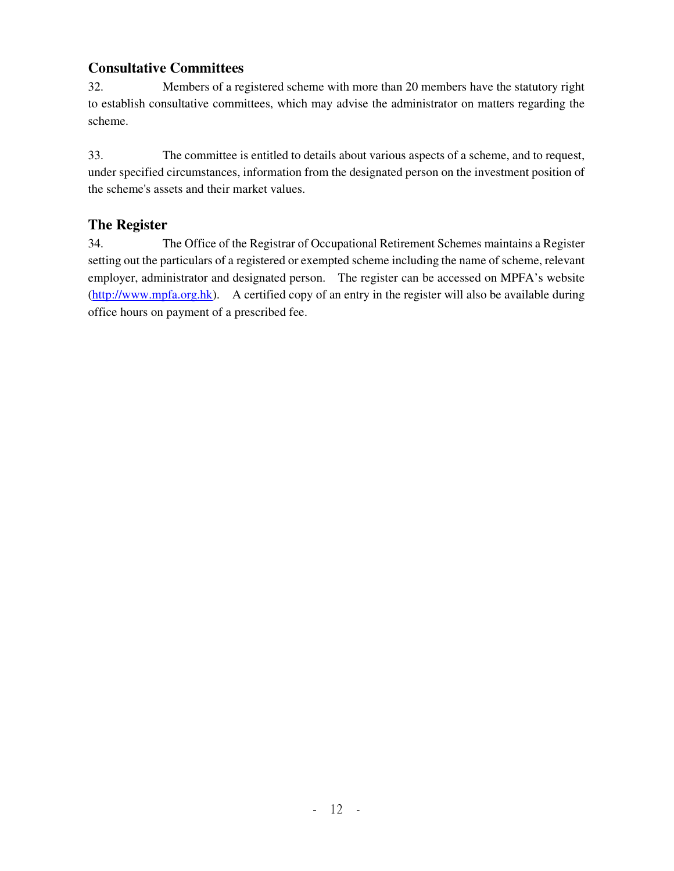# **Consultative Committees**

32. Members of a registered scheme with more than 20 members have the statutory right to establish consultative committees, which may advise the administrator on matters regarding the scheme.

33. The committee is entitled to details about various aspects of a scheme, and to request, under specified circumstances, information from the designated person on the investment position of the scheme's assets and their market values.

# **The Register**

34. The Office of the Registrar of Occupational Retirement Schemes maintains a Register setting out the particulars of a registered or exempted scheme including the name of scheme, relevant employer, administrator and designated person. The register can be accessed on MPFA's website (http://www.mpfa.org.hk). A certified copy of an entry in the register will also be available during office hours on payment of a prescribed fee.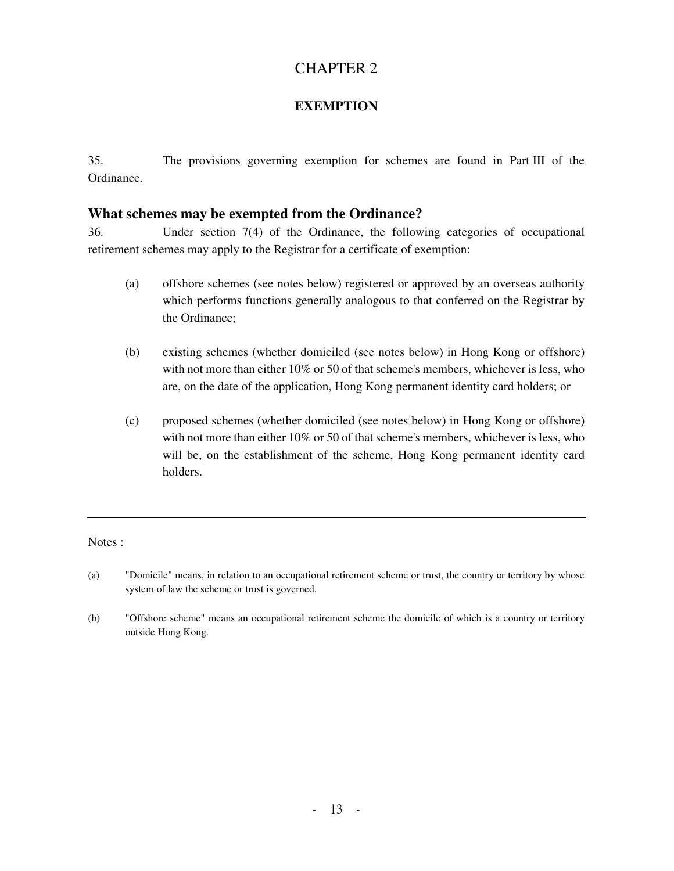# CHAPTER 2

## **EXEMPTION**

35. The provisions governing exemption for schemes are found in Part III of the Ordinance.

## **What schemes may be exempted from the Ordinance?**

36. Under section 7(4) of the Ordinance, the following categories of occupational retirement schemes may apply to the Registrar for a certificate of exemption:

- (a) offshore schemes (see notes below) registered or approved by an overseas authority which performs functions generally analogous to that conferred on the Registrar by the Ordinance;
- (b) existing schemes (whether domiciled (see notes below) in Hong Kong or offshore) with not more than either 10% or 50 of that scheme's members, whichever is less, who are, on the date of the application, Hong Kong permanent identity card holders; or
- (c) proposed schemes (whether domiciled (see notes below) in Hong Kong or offshore) with not more than either 10% or 50 of that scheme's members, whichever is less, who will be, on the establishment of the scheme, Hong Kong permanent identity card holders.

#### Notes :

- (a) "Domicile" means, in relation to an occupational retirement scheme or trust, the country or territory by whose system of law the scheme or trust is governed.
- (b) "Offshore scheme" means an occupational retirement scheme the domicile of which is a country or territory outside Hong Kong.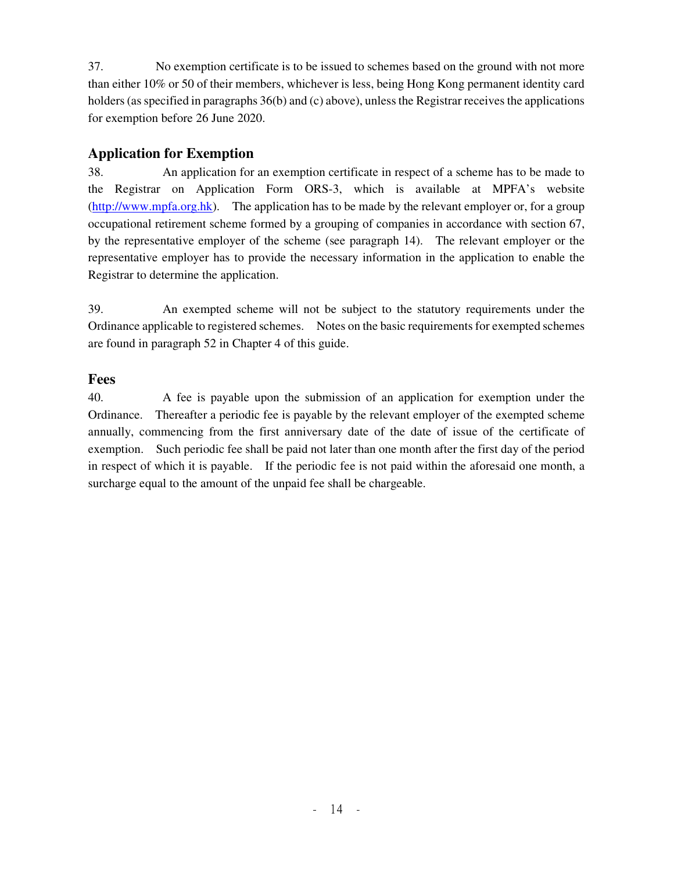37. No exemption certificate is to be issued to schemes based on the ground with not more than either 10% or 50 of their members, whichever is less, being Hong Kong permanent identity card holders (as specified in paragraphs 36(b) and (c) above), unless the Registrar receives the applications for exemption before 26 June 2020.

# **Application for Exemption**

38. An application for an exemption certificate in respect of a scheme has to be made to the Registrar on Application Form ORS-3, which is available at MPFA's website (http://www.mpfa.org.hk). The application has to be made by the relevant employer or, for a group occupational retirement scheme formed by a grouping of companies in accordance with section 67, by the representative employer of the scheme (see paragraph 14). The relevant employer or the representative employer has to provide the necessary information in the application to enable the Registrar to determine the application.

39. An exempted scheme will not be subject to the statutory requirements under the Ordinance applicable to registered schemes. Notes on the basic requirements for exempted schemes are found in paragraph 52 in Chapter 4 of this guide.

## **Fees**

40. A fee is payable upon the submission of an application for exemption under the Ordinance. Thereafter a periodic fee is payable by the relevant employer of the exempted scheme annually, commencing from the first anniversary date of the date of issue of the certificate of exemption. Such periodic fee shall be paid not later than one month after the first day of the period in respect of which it is payable. If the periodic fee is not paid within the aforesaid one month, a surcharge equal to the amount of the unpaid fee shall be chargeable.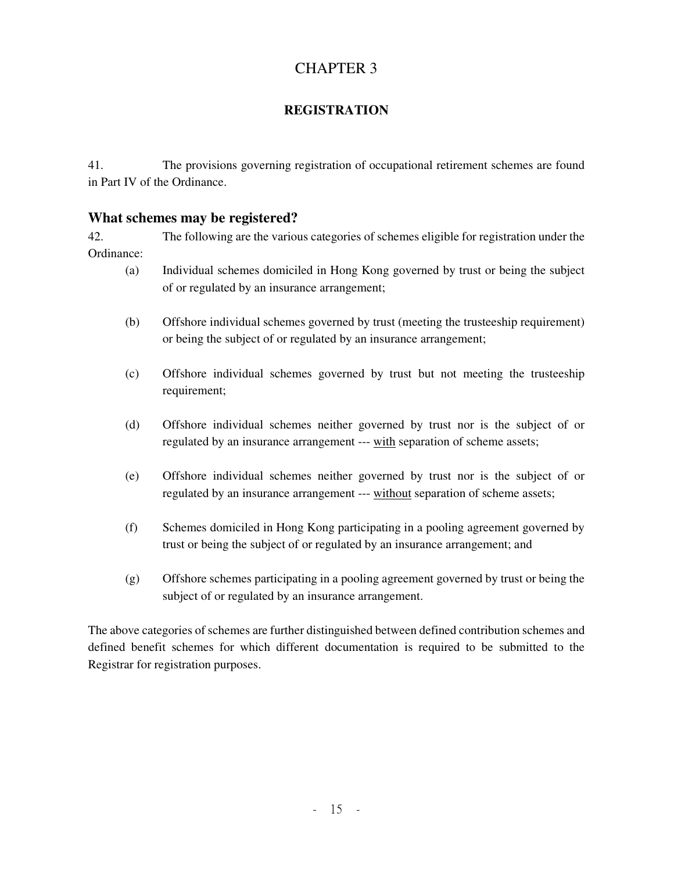# CHAPTER 3

# **REGISTRATION**

41. The provisions governing registration of occupational retirement schemes are found in Part IV of the Ordinance.

## **What schemes may be registered?**

42. The following are the various categories of schemes eligible for registration under the Ordinance:

- (a) Individual schemes domiciled in Hong Kong governed by trust or being the subject of or regulated by an insurance arrangement;
- (b) Offshore individual schemes governed by trust (meeting the trusteeship requirement) or being the subject of or regulated by an insurance arrangement;
- (c) Offshore individual schemes governed by trust but not meeting the trusteeship requirement;
- (d) Offshore individual schemes neither governed by trust nor is the subject of or regulated by an insurance arrangement --- with separation of scheme assets;
- (e) Offshore individual schemes neither governed by trust nor is the subject of or regulated by an insurance arrangement --- without separation of scheme assets;
- (f) Schemes domiciled in Hong Kong participating in a pooling agreement governed by trust or being the subject of or regulated by an insurance arrangement; and
- (g) Offshore schemes participating in a pooling agreement governed by trust or being the subject of or regulated by an insurance arrangement.

The above categories of schemes are further distinguished between defined contribution schemes and defined benefit schemes for which different documentation is required to be submitted to the Registrar for registration purposes.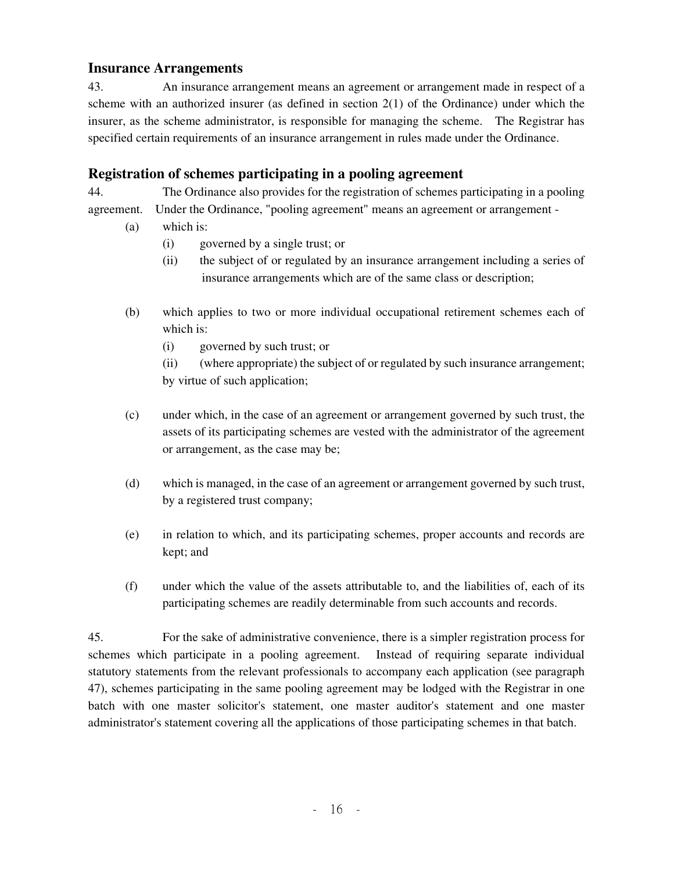# **Insurance Arrangements**

43. An insurance arrangement means an agreement or arrangement made in respect of a scheme with an authorized insurer (as defined in section 2(1) of the Ordinance) under which the insurer, as the scheme administrator, is responsible for managing the scheme. The Registrar has specified certain requirements of an insurance arrangement in rules made under the Ordinance.

# **Registration of schemes participating in a pooling agreement**

44. The Ordinance also provides for the registration of schemes participating in a pooling agreement. Under the Ordinance, "pooling agreement" means an agreement or arrangement -

- (a) which is:
	- (i) governed by a single trust; or
	- (ii) the subject of or regulated by an insurance arrangement including a series of insurance arrangements which are of the same class or description;
- (b) which applies to two or more individual occupational retirement schemes each of which is:
	- (i) governed by such trust; or

 (ii) (where appropriate) the subject of or regulated by such insurance arrangement; by virtue of such application;

- (c) under which, in the case of an agreement or arrangement governed by such trust, the assets of its participating schemes are vested with the administrator of the agreement or arrangement, as the case may be;
- (d) which is managed, in the case of an agreement or arrangement governed by such trust, by a registered trust company;
- (e) in relation to which, and its participating schemes, proper accounts and records are kept; and
- (f) under which the value of the assets attributable to, and the liabilities of, each of its participating schemes are readily determinable from such accounts and records.

45. For the sake of administrative convenience, there is a simpler registration process for schemes which participate in a pooling agreement. Instead of requiring separate individual statutory statements from the relevant professionals to accompany each application (see paragraph 47), schemes participating in the same pooling agreement may be lodged with the Registrar in one batch with one master solicitor's statement, one master auditor's statement and one master administrator's statement covering all the applications of those participating schemes in that batch.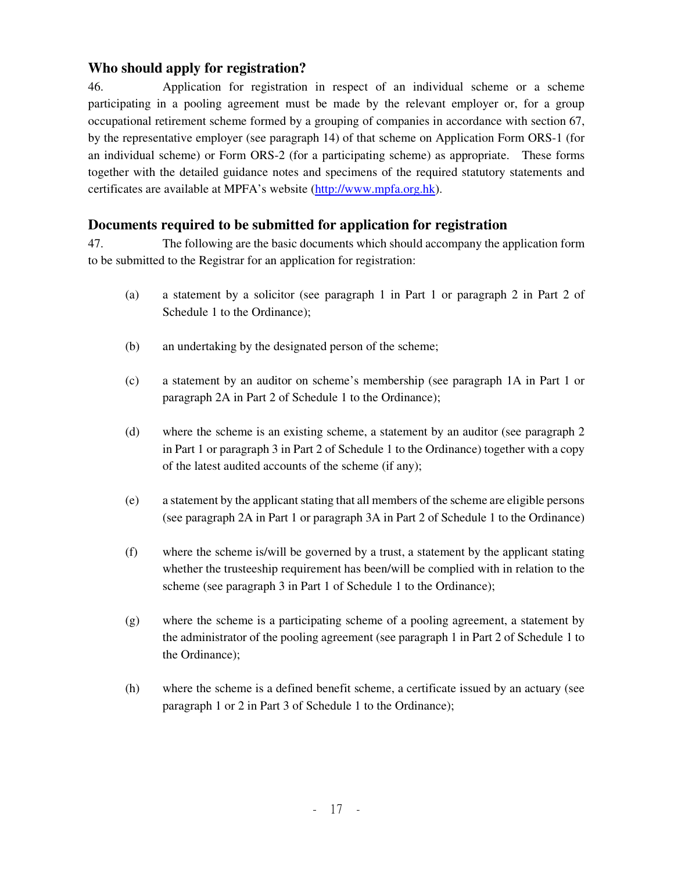# **Who should apply for registration?**

46. Application for registration in respect of an individual scheme or a scheme participating in a pooling agreement must be made by the relevant employer or, for a group occupational retirement scheme formed by a grouping of companies in accordance with section 67, by the representative employer (see paragraph 14) of that scheme on Application Form ORS-1 (for an individual scheme) or Form ORS-2 (for a participating scheme) as appropriate. These forms together with the detailed guidance notes and specimens of the required statutory statements and certificates are available at MPFA's website (http://www.mpfa.org.hk).

## **Documents required to be submitted for application for registration**

47. The following are the basic documents which should accompany the application form to be submitted to the Registrar for an application for registration:

- (a) a statement by a solicitor (see paragraph 1 in Part 1 or paragraph 2 in Part 2 of Schedule 1 to the Ordinance);
- (b) an undertaking by the designated person of the scheme;
- (c) a statement by an auditor on scheme's membership (see paragraph 1A in Part 1 or paragraph 2A in Part 2 of Schedule 1 to the Ordinance);
- (d) where the scheme is an existing scheme, a statement by an auditor (see paragraph 2 in Part 1 or paragraph 3 in Part 2 of Schedule 1 to the Ordinance) together with a copy of the latest audited accounts of the scheme (if any);
- (e) a statement by the applicant stating that all members of the scheme are eligible persons (see paragraph 2A in Part 1 or paragraph 3A in Part 2 of Schedule 1 to the Ordinance)
- (f) where the scheme is/will be governed by a trust, a statement by the applicant stating whether the trusteeship requirement has been/will be complied with in relation to the scheme (see paragraph 3 in Part 1 of Schedule 1 to the Ordinance);
- (g) where the scheme is a participating scheme of a pooling agreement, a statement by the administrator of the pooling agreement (see paragraph 1 in Part 2 of Schedule 1 to the Ordinance);
- (h) where the scheme is a defined benefit scheme, a certificate issued by an actuary (see paragraph 1 or 2 in Part 3 of Schedule 1 to the Ordinance);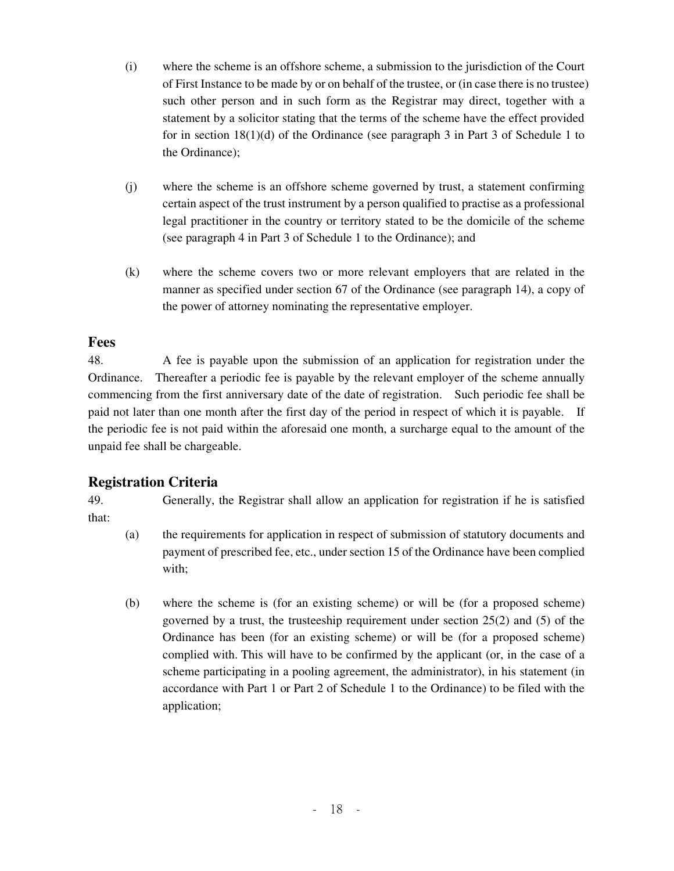- (i) where the scheme is an offshore scheme, a submission to the jurisdiction of the Court of First Instance to be made by or on behalf of the trustee, or (in case there is no trustee) such other person and in such form as the Registrar may direct, together with a statement by a solicitor stating that the terms of the scheme have the effect provided for in section  $18(1)(d)$  of the Ordinance (see paragraph 3 in Part 3 of Schedule 1 to the Ordinance);
- (j) where the scheme is an offshore scheme governed by trust, a statement confirming certain aspect of the trust instrument by a person qualified to practise as a professional legal practitioner in the country or territory stated to be the domicile of the scheme (see paragraph 4 in Part 3 of Schedule 1 to the Ordinance); and
- (k) where the scheme covers two or more relevant employers that are related in the manner as specified under section 67 of the Ordinance (see paragraph 14), a copy of the power of attorney nominating the representative employer.

## **Fees**

48. A fee is payable upon the submission of an application for registration under the Ordinance. Thereafter a periodic fee is payable by the relevant employer of the scheme annually commencing from the first anniversary date of the date of registration. Such periodic fee shall be paid not later than one month after the first day of the period in respect of which it is payable. If the periodic fee is not paid within the aforesaid one month, a surcharge equal to the amount of the unpaid fee shall be chargeable.

# **Registration Criteria**

49. Generally, the Registrar shall allow an application for registration if he is satisfied that:

- (a) the requirements for application in respect of submission of statutory documents and payment of prescribed fee, etc., under section 15 of the Ordinance have been complied with;
- (b) where the scheme is (for an existing scheme) or will be (for a proposed scheme) governed by a trust, the trusteeship requirement under section 25(2) and (5) of the Ordinance has been (for an existing scheme) or will be (for a proposed scheme) complied with. This will have to be confirmed by the applicant (or, in the case of a scheme participating in a pooling agreement, the administrator), in his statement (in accordance with Part 1 or Part 2 of Schedule 1 to the Ordinance) to be filed with the application;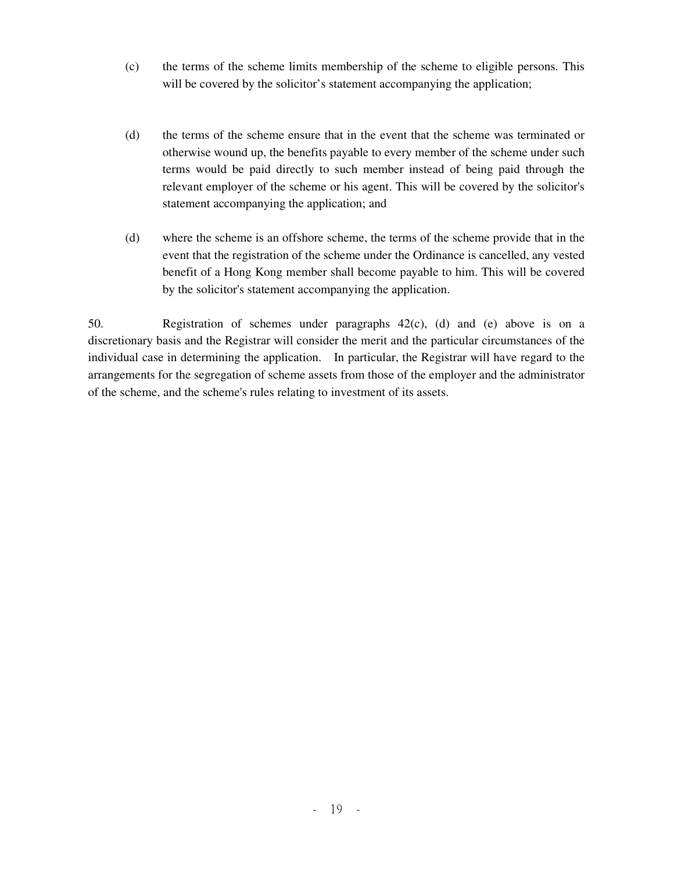- (c) the terms of the scheme limits membership of the scheme to eligible persons. This will be covered by the solicitor's statement accompanying the application;
- (d) the terms of the scheme ensure that in the event that the scheme was terminated or otherwise wound up, the benefits payable to every member of the scheme under such terms would be paid directly to such member instead of being paid through the relevant employer of the scheme or his agent. This will be covered by the solicitor's statement accompanying the application; and
- (d) where the scheme is an offshore scheme, the terms of the scheme provide that in the event that the registration of the scheme under the Ordinance is cancelled, any vested benefit of a Hong Kong member shall become payable to him. This will be covered by the solicitor's statement accompanying the application.

50. Registration of schemes under paragraphs 42(c), (d) and (e) above is on a discretionary basis and the Registrar will consider the merit and the particular circumstances of the individual case in determining the application. In particular, the Registrar will have regard to the arrangements for the segregation of scheme assets from those of the employer and the administrator of the scheme, and the scheme's rules relating to investment of its assets.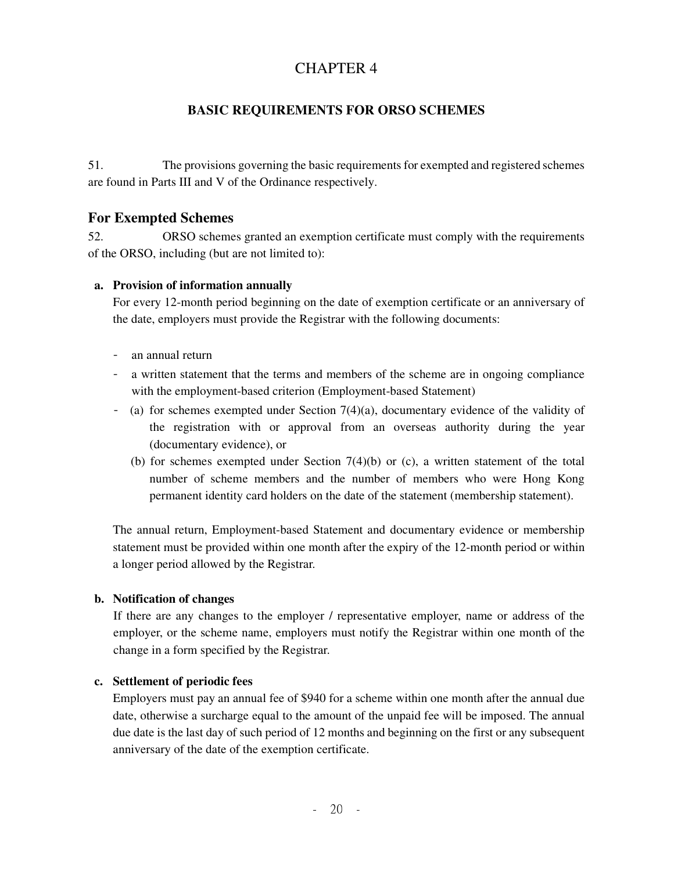# CHAPTER 4

# **BASIC REQUIREMENTS FOR ORSO SCHEMES**

51. The provisions governing the basic requirements for exempted and registered schemes are found in Parts III and V of the Ordinance respectively.

## **For Exempted Schemes**

52. ORSO schemes granted an exemption certificate must comply with the requirements of the ORSO, including (but are not limited to):

#### **a. Provision of information annually**

For every 12-month period beginning on the date of exemption certificate or an anniversary of the date, employers must provide the Registrar with the following documents:

- an annual return
- a written statement that the terms and members of the scheme are in ongoing compliance with the employment-based criterion (Employment-based Statement)
- (a) for schemes exempted under Section 7(4)(a), documentary evidence of the validity of the registration with or approval from an overseas authority during the year (documentary evidence), or
	- (b) for schemes exempted under Section 7(4)(b) or (c), a written statement of the total number of scheme members and the number of members who were Hong Kong permanent identity card holders on the date of the statement (membership statement).

The annual return, Employment-based Statement and documentary evidence or membership statement must be provided within one month after the expiry of the 12-month period or within a longer period allowed by the Registrar.

#### **b. Notification of changes**

If there are any changes to the employer / representative employer, name or address of the employer, or the scheme name, employers must notify the Registrar within one month of the change in a form specified by the Registrar.

#### **c. Settlement of periodic fees**

Employers must pay an annual fee of \$940 for a scheme within one month after the annual due date, otherwise a surcharge equal to the amount of the unpaid fee will be imposed. The annual due date is the last day of such period of 12 months and beginning on the first or any subsequent anniversary of the date of the exemption certificate.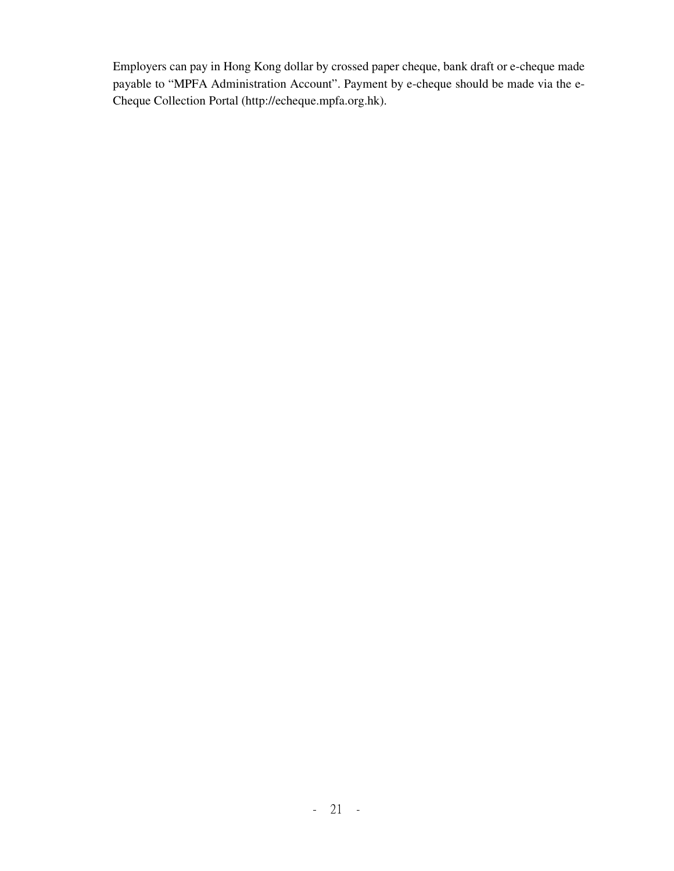Employers can pay in Hong Kong dollar by crossed paper cheque, bank draft or e-cheque made payable to "MPFA Administration Account". Payment by e-cheque should be made via the e-Cheque Collection Portal (http://echeque.mpfa.org.hk).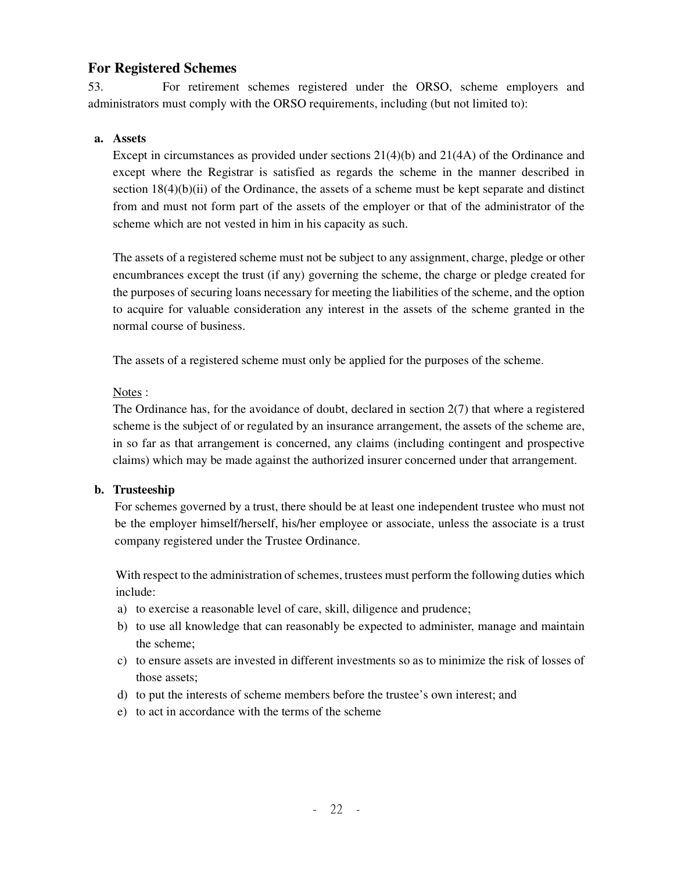## **For Registered Schemes**

53. For retirement schemes registered under the ORSO, scheme employers and administrators must comply with the ORSO requirements, including (but not limited to):

#### **a. Assets**

Except in circumstances as provided under sections 21(4)(b) and 21(4A) of the Ordinance and except where the Registrar is satisfied as regards the scheme in the manner described in section  $18(4)(b)(ii)$  of the Ordinance, the assets of a scheme must be kept separate and distinct from and must not form part of the assets of the employer or that of the administrator of the scheme which are not vested in him in his capacity as such.

The assets of a registered scheme must not be subject to any assignment, charge, pledge or other encumbrances except the trust (if any) governing the scheme, the charge or pledge created for the purposes of securing loans necessary for meeting the liabilities of the scheme, and the option to acquire for valuable consideration any interest in the assets of the scheme granted in the normal course of business.

The assets of a registered scheme must only be applied for the purposes of the scheme.

#### Notes :

The Ordinance has, for the avoidance of doubt, declared in section 2(7) that where a registered scheme is the subject of or regulated by an insurance arrangement, the assets of the scheme are, in so far as that arrangement is concerned, any claims (including contingent and prospective claims) which may be made against the authorized insurer concerned under that arrangement.

#### **b. Trusteeship**

For schemes governed by a trust, there should be at least one independent trustee who must not be the employer himself/herself, his/her employee or associate, unless the associate is a trust company registered under the Trustee Ordinance.

With respect to the administration of schemes, trustees must perform the following duties which include:

- a) to exercise a reasonable level of care, skill, diligence and prudence;
- b) to use all knowledge that can reasonably be expected to administer, manage and maintain the scheme;
- c) to ensure assets are invested in different investments so as to minimize the risk of losses of those assets;
- d) to put the interests of scheme members before the trustee's own interest; and
- e) to act in accordance with the terms of the scheme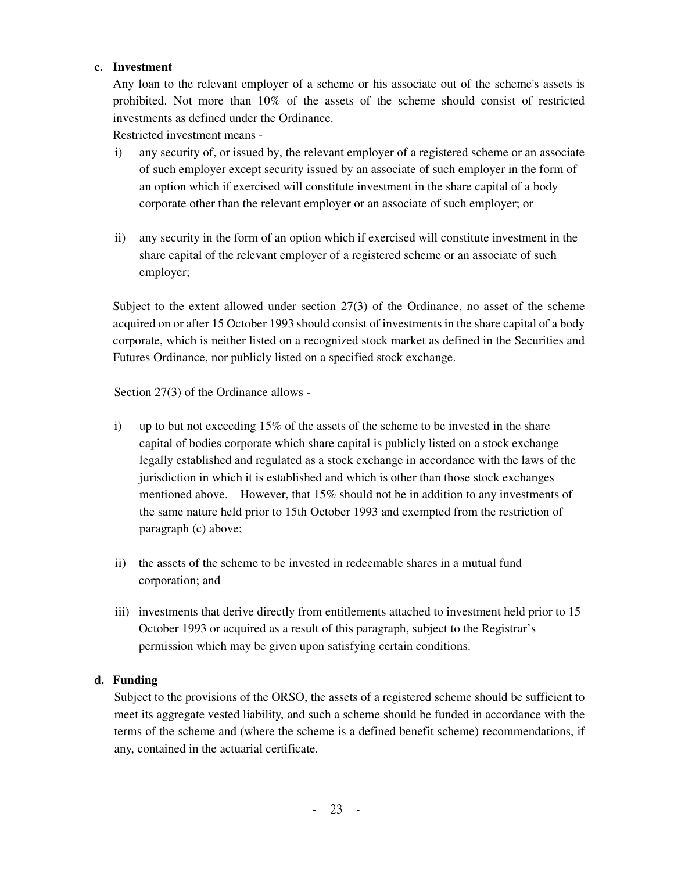#### **c. Investment**

Any loan to the relevant employer of a scheme or his associate out of the scheme's assets is prohibited. Not more than 10% of the assets of the scheme should consist of restricted investments as defined under the Ordinance.

Restricted investment means -

- i) any security of, or issued by, the relevant employer of a registered scheme or an associate of such employer except security issued by an associate of such employer in the form of an option which if exercised will constitute investment in the share capital of a body corporate other than the relevant employer or an associate of such employer; or
- ii) any security in the form of an option which if exercised will constitute investment in the share capital of the relevant employer of a registered scheme or an associate of such employer;

Subject to the extent allowed under section 27(3) of the Ordinance, no asset of the scheme acquired on or after 15 October 1993 should consist of investments in the share capital of a body corporate, which is neither listed on a recognized stock market as defined in the Securities and Futures Ordinance, nor publicly listed on a specified stock exchange.

Section 27(3) of the Ordinance allows -

- i) up to but not exceeding 15% of the assets of the scheme to be invested in the share capital of bodies corporate which share capital is publicly listed on a stock exchange legally established and regulated as a stock exchange in accordance with the laws of the jurisdiction in which it is established and which is other than those stock exchanges mentioned above. However, that 15% should not be in addition to any investments of the same nature held prior to 15th October 1993 and exempted from the restriction of paragraph (c) above;
- ii) the assets of the scheme to be invested in redeemable shares in a mutual fund corporation; and
- iii) investments that derive directly from entitlements attached to investment held prior to 15 October 1993 or acquired as a result of this paragraph, subject to the Registrar's permission which may be given upon satisfying certain conditions.

#### **d. Funding**

Subject to the provisions of the ORSO, the assets of a registered scheme should be sufficient to meet its aggregate vested liability, and such a scheme should be funded in accordance with the terms of the scheme and (where the scheme is a defined benefit scheme) recommendations, if any, contained in the actuarial certificate.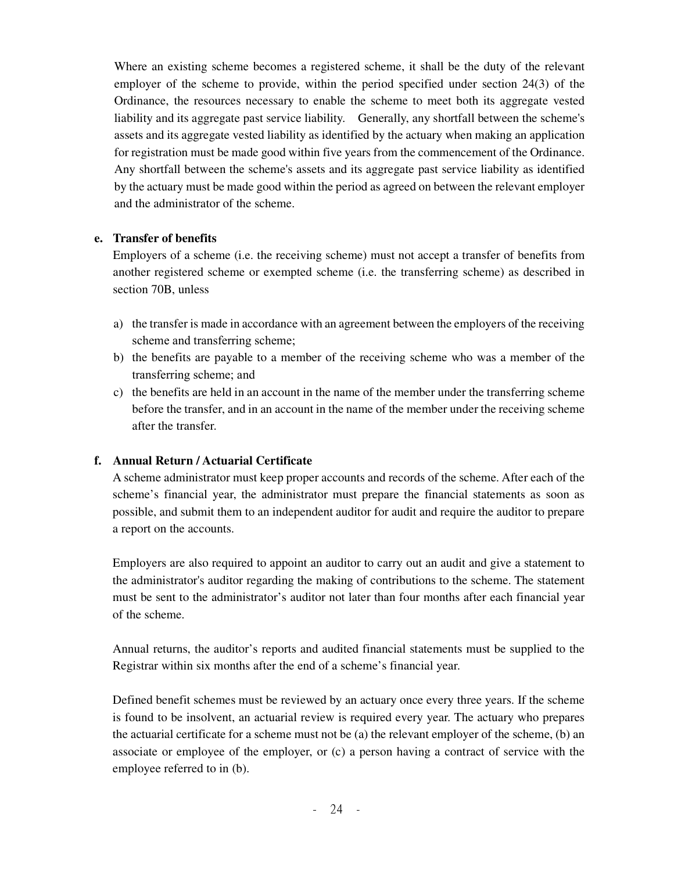Where an existing scheme becomes a registered scheme, it shall be the duty of the relevant employer of the scheme to provide, within the period specified under section 24(3) of the Ordinance, the resources necessary to enable the scheme to meet both its aggregate vested liability and its aggregate past service liability. Generally, any shortfall between the scheme's assets and its aggregate vested liability as identified by the actuary when making an application for registration must be made good within five years from the commencement of the Ordinance. Any shortfall between the scheme's assets and its aggregate past service liability as identified by the actuary must be made good within the period as agreed on between the relevant employer and the administrator of the scheme.

#### **e. Transfer of benefits**

Employers of a scheme (i.e. the receiving scheme) must not accept a transfer of benefits from another registered scheme or exempted scheme (i.e. the transferring scheme) as described in section 70B, unless

- a) the transfer is made in accordance with an agreement between the employers of the receiving scheme and transferring scheme;
- b) the benefits are payable to a member of the receiving scheme who was a member of the transferring scheme; and
- c) the benefits are held in an account in the name of the member under the transferring scheme before the transfer, and in an account in the name of the member under the receiving scheme after the transfer.

#### **f. Annual Return / Actuarial Certificate**

A scheme administrator must keep proper accounts and records of the scheme. After each of the scheme's financial year, the administrator must prepare the financial statements as soon as possible, and submit them to an independent auditor for audit and require the auditor to prepare a report on the accounts.

Employers are also required to appoint an auditor to carry out an audit and give a statement to the administrator's auditor regarding the making of contributions to the scheme. The statement must be sent to the administrator's auditor not later than four months after each financial year of the scheme.

Annual returns, the auditor's reports and audited financial statements must be supplied to the Registrar within six months after the end of a scheme's financial year.

Defined benefit schemes must be reviewed by an actuary once every three years. If the scheme is found to be insolvent, an actuarial review is required every year. The actuary who prepares the actuarial certificate for a scheme must not be (a) the relevant employer of the scheme, (b) an associate or employee of the employer, or (c) a person having a contract of service with the employee referred to in (b).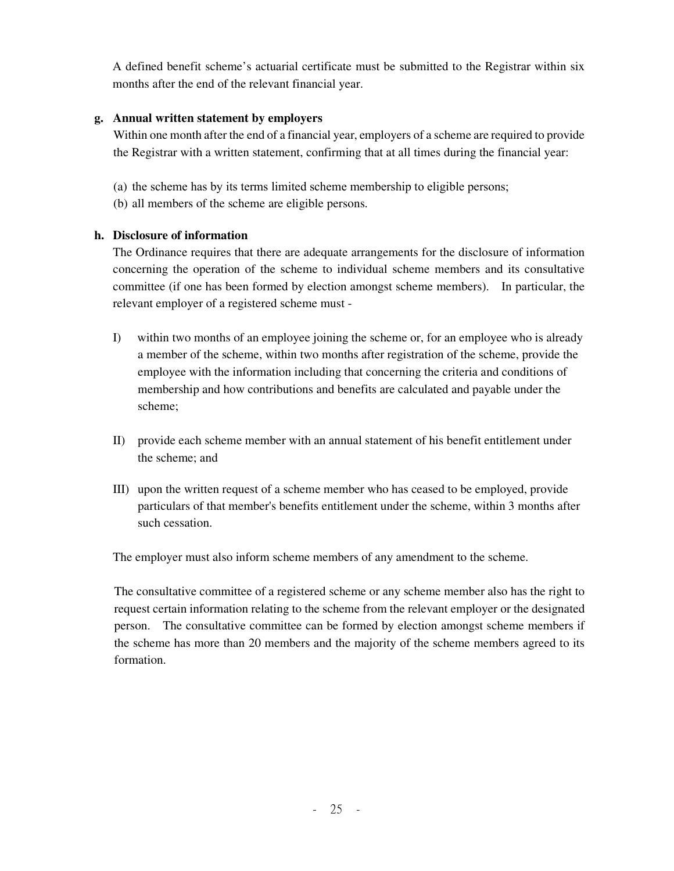A defined benefit scheme's actuarial certificate must be submitted to the Registrar within six months after the end of the relevant financial year.

## **g. Annual written statement by employers**

Within one month after the end of a financial year, employers of a scheme are required to provide the Registrar with a written statement, confirming that at all times during the financial year:

- (a) the scheme has by its terms limited scheme membership to eligible persons;
- (b) all members of the scheme are eligible persons.

## **h. Disclosure of information**

The Ordinance requires that there are adequate arrangements for the disclosure of information concerning the operation of the scheme to individual scheme members and its consultative committee (if one has been formed by election amongst scheme members). In particular, the relevant employer of a registered scheme must -

- I) within two months of an employee joining the scheme or, for an employee who is already a member of the scheme, within two months after registration of the scheme, provide the employee with the information including that concerning the criteria and conditions of membership and how contributions and benefits are calculated and payable under the scheme;
- II) provide each scheme member with an annual statement of his benefit entitlement under the scheme; and
- III) upon the written request of a scheme member who has ceased to be employed, provide particulars of that member's benefits entitlement under the scheme, within 3 months after such cessation.

The employer must also inform scheme members of any amendment to the scheme.

The consultative committee of a registered scheme or any scheme member also has the right to request certain information relating to the scheme from the relevant employer or the designated person. The consultative committee can be formed by election amongst scheme members if the scheme has more than 20 members and the majority of the scheme members agreed to its formation.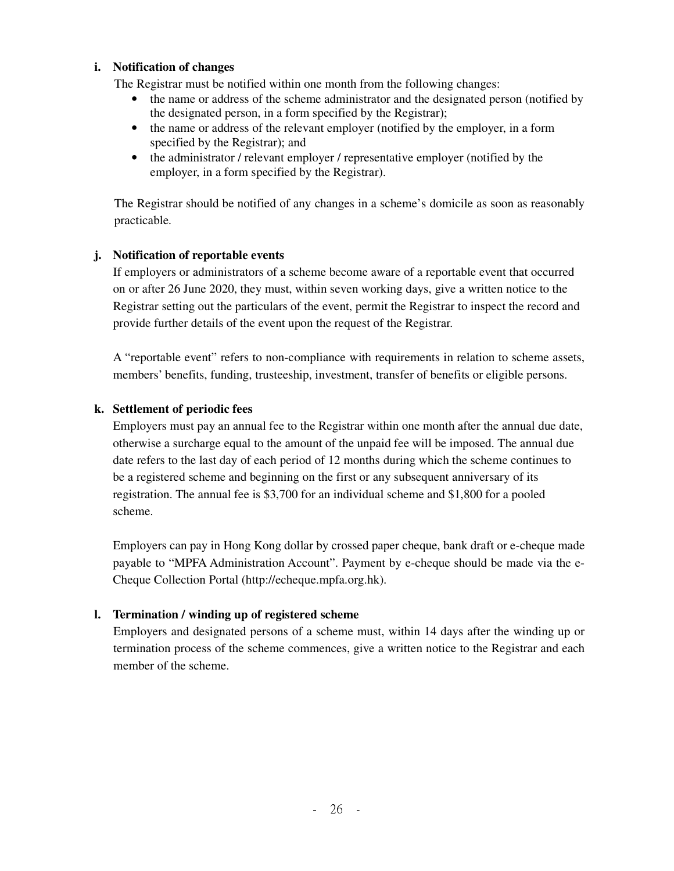#### **i. Notification of changes**

The Registrar must be notified within one month from the following changes:

- the name or address of the scheme administrator and the designated person (notified by the designated person, in a form specified by the Registrar);
- the name or address of the relevant employer (notified by the employer, in a form specified by the Registrar); and
- the administrator / relevant employer / representative employer (notified by the employer, in a form specified by the Registrar).

The Registrar should be notified of any changes in a scheme's domicile as soon as reasonably practicable.

## **j. Notification of reportable events**

If employers or administrators of a scheme become aware of a reportable event that occurred on or after 26 June 2020, they must, within seven working days, give a written notice to the Registrar setting out the particulars of the event, permit the Registrar to inspect the record and provide further details of the event upon the request of the Registrar.

A "reportable event" refers to non-compliance with requirements in relation to scheme assets, members' benefits, funding, trusteeship, investment, transfer of benefits or eligible persons.

## **k. Settlement of periodic fees**

Employers must pay an annual fee to the Registrar within one month after the annual due date, otherwise a surcharge equal to the amount of the unpaid fee will be imposed. The annual due date refers to the last day of each period of 12 months during which the scheme continues to be a registered scheme and beginning on the first or any subsequent anniversary of its registration. The annual fee is \$3,700 for an individual scheme and \$1,800 for a pooled scheme.

Employers can pay in Hong Kong dollar by crossed paper cheque, bank draft or e-cheque made payable to "MPFA Administration Account". Payment by e-cheque should be made via the e-Cheque Collection Portal (http://echeque.mpfa.org.hk).

#### **l. Termination / winding up of registered scheme**

Employers and designated persons of a scheme must, within 14 days after the winding up or termination process of the scheme commences, give a written notice to the Registrar and each member of the scheme.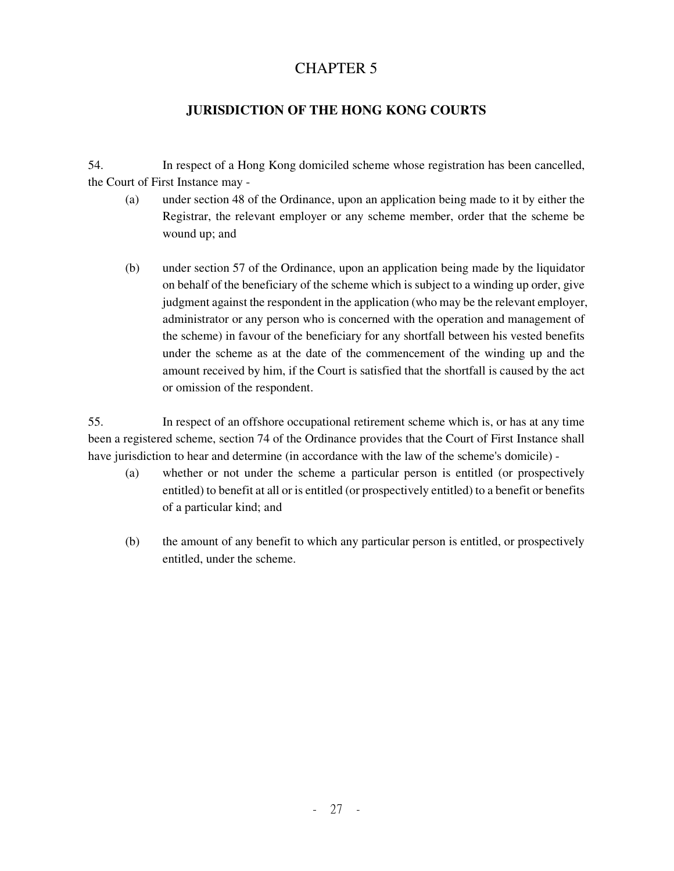# CHAPTER 5

# **JURISDICTION OF THE HONG KONG COURTS**

54. In respect of a Hong Kong domiciled scheme whose registration has been cancelled, the Court of First Instance may -

- (a) under section 48 of the Ordinance, upon an application being made to it by either the Registrar, the relevant employer or any scheme member, order that the scheme be wound up; and
- (b) under section 57 of the Ordinance, upon an application being made by the liquidator on behalf of the beneficiary of the scheme which is subject to a winding up order, give judgment against the respondent in the application (who may be the relevant employer, administrator or any person who is concerned with the operation and management of the scheme) in favour of the beneficiary for any shortfall between his vested benefits under the scheme as at the date of the commencement of the winding up and the amount received by him, if the Court is satisfied that the shortfall is caused by the act or omission of the respondent.

55. In respect of an offshore occupational retirement scheme which is, or has at any time been a registered scheme, section 74 of the Ordinance provides that the Court of First Instance shall have jurisdiction to hear and determine (in accordance with the law of the scheme's domicile) -

- (a) whether or not under the scheme a particular person is entitled (or prospectively entitled) to benefit at all or is entitled (or prospectively entitled) to a benefit or benefits of a particular kind; and
- (b) the amount of any benefit to which any particular person is entitled, or prospectively entitled, under the scheme.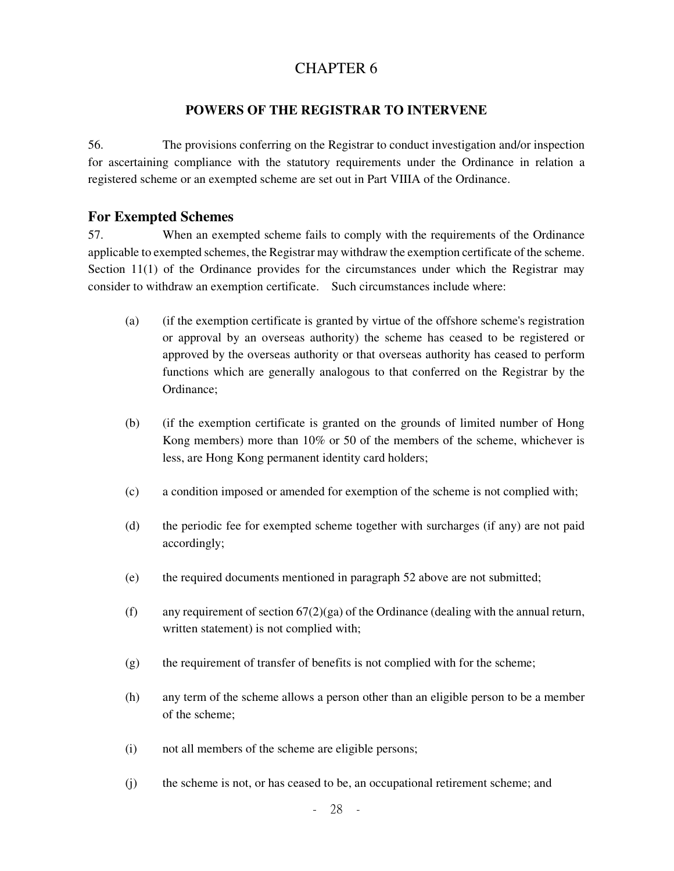# CHAPTER 6

## **POWERS OF THE REGISTRAR TO INTERVENE**

56. The provisions conferring on the Registrar to conduct investigation and/or inspection for ascertaining compliance with the statutory requirements under the Ordinance in relation a registered scheme or an exempted scheme are set out in Part VIIIA of the Ordinance.

## **For Exempted Schemes**

57. When an exempted scheme fails to comply with the requirements of the Ordinance applicable to exempted schemes, the Registrar may withdraw the exemption certificate of the scheme. Section 11(1) of the Ordinance provides for the circumstances under which the Registrar may consider to withdraw an exemption certificate. Such circumstances include where:

- (a) (if the exemption certificate is granted by virtue of the offshore scheme's registration or approval by an overseas authority) the scheme has ceased to be registered or approved by the overseas authority or that overseas authority has ceased to perform functions which are generally analogous to that conferred on the Registrar by the Ordinance;
- (b) (if the exemption certificate is granted on the grounds of limited number of Hong Kong members) more than 10% or 50 of the members of the scheme, whichever is less, are Hong Kong permanent identity card holders;
- (c) a condition imposed or amended for exemption of the scheme is not complied with;
- (d) the periodic fee for exempted scheme together with surcharges (if any) are not paid accordingly;
- (e) the required documents mentioned in paragraph 52 above are not submitted;
- (f) any requirement of section  $67(2)(ga)$  of the Ordinance (dealing with the annual return, written statement) is not complied with;
- (g) the requirement of transfer of benefits is not complied with for the scheme;
- (h) any term of the scheme allows a person other than an eligible person to be a member of the scheme;
- (i) not all members of the scheme are eligible persons;
- (j) the scheme is not, or has ceased to be, an occupational retirement scheme; and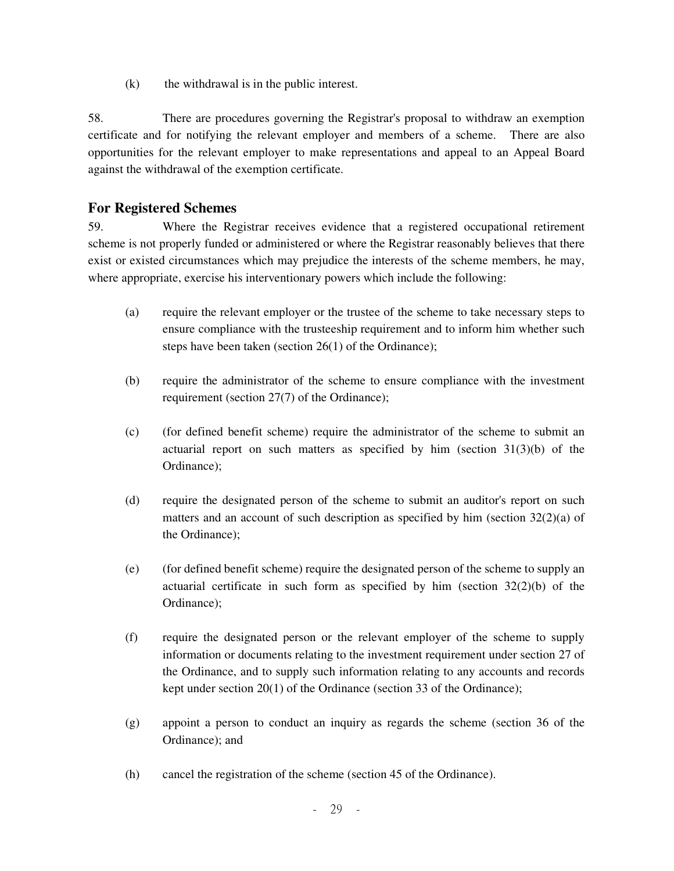(k) the withdrawal is in the public interest.

58. There are procedures governing the Registrar's proposal to withdraw an exemption certificate and for notifying the relevant employer and members of a scheme. There are also opportunities for the relevant employer to make representations and appeal to an Appeal Board against the withdrawal of the exemption certificate.

# **For Registered Schemes**

59. Where the Registrar receives evidence that a registered occupational retirement scheme is not properly funded or administered or where the Registrar reasonably believes that there exist or existed circumstances which may prejudice the interests of the scheme members, he may, where appropriate, exercise his interventionary powers which include the following:

- (a) require the relevant employer or the trustee of the scheme to take necessary steps to ensure compliance with the trusteeship requirement and to inform him whether such steps have been taken (section 26(1) of the Ordinance);
- (b) require the administrator of the scheme to ensure compliance with the investment requirement (section 27(7) of the Ordinance);
- (c) (for defined benefit scheme) require the administrator of the scheme to submit an actuarial report on such matters as specified by him (section  $31(3)(b)$ ) of the Ordinance);
- (d) require the designated person of the scheme to submit an auditor's report on such matters and an account of such description as specified by him (section  $32(2)(a)$  of the Ordinance);
- (e) (for defined benefit scheme) require the designated person of the scheme to supply an actuarial certificate in such form as specified by him (section  $32(2)(b)$ ) of the Ordinance);
- (f) require the designated person or the relevant employer of the scheme to supply information or documents relating to the investment requirement under section 27 of the Ordinance, and to supply such information relating to any accounts and records kept under section 20(1) of the Ordinance (section 33 of the Ordinance);
- (g) appoint a person to conduct an inquiry as regards the scheme (section 36 of the Ordinance); and
- (h) cancel the registration of the scheme (section 45 of the Ordinance).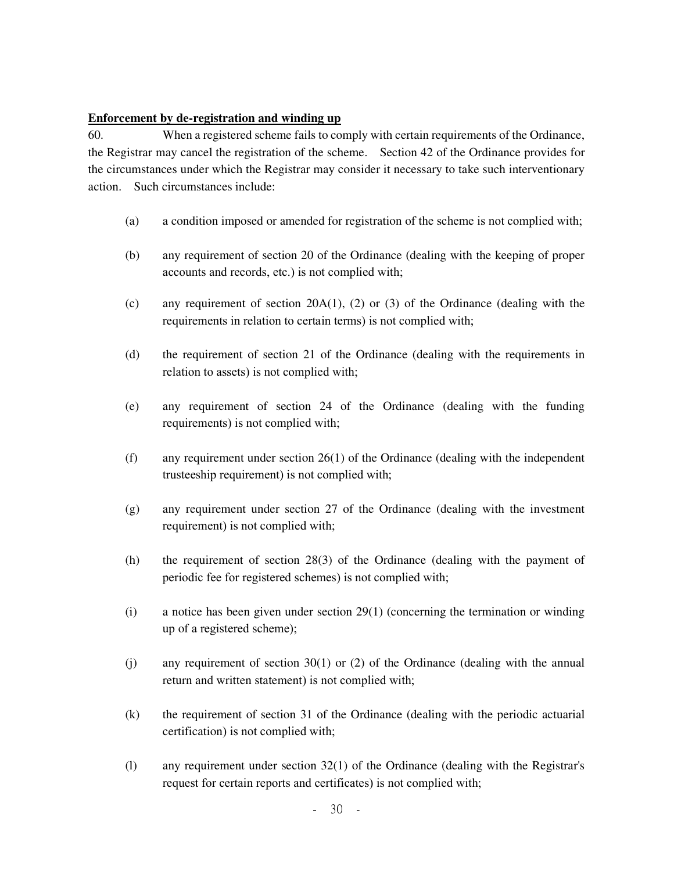#### **Enforcement by de-registration and winding up**

60. When a registered scheme fails to comply with certain requirements of the Ordinance, the Registrar may cancel the registration of the scheme. Section 42 of the Ordinance provides for the circumstances under which the Registrar may consider it necessary to take such interventionary action. Such circumstances include:

- (a) a condition imposed or amended for registration of the scheme is not complied with;
- (b) any requirement of section 20 of the Ordinance (dealing with the keeping of proper accounts and records, etc.) is not complied with;
- (c) any requirement of section  $20A(1)$ , (2) or (3) of the Ordinance (dealing with the requirements in relation to certain terms) is not complied with;
- (d) the requirement of section 21 of the Ordinance (dealing with the requirements in relation to assets) is not complied with;
- (e) any requirement of section 24 of the Ordinance (dealing with the funding requirements) is not complied with;
- (f) any requirement under section 26(1) of the Ordinance (dealing with the independent trusteeship requirement) is not complied with;
- (g) any requirement under section 27 of the Ordinance (dealing with the investment requirement) is not complied with;
- (h) the requirement of section 28(3) of the Ordinance (dealing with the payment of periodic fee for registered schemes) is not complied with;
- (i) a notice has been given under section 29(1) (concerning the termination or winding up of a registered scheme);
- (j) any requirement of section 30(1) or (2) of the Ordinance (dealing with the annual return and written statement) is not complied with;
- (k) the requirement of section 31 of the Ordinance (dealing with the periodic actuarial certification) is not complied with;
- (l) any requirement under section 32(1) of the Ordinance (dealing with the Registrar's request for certain reports and certificates) is not complied with;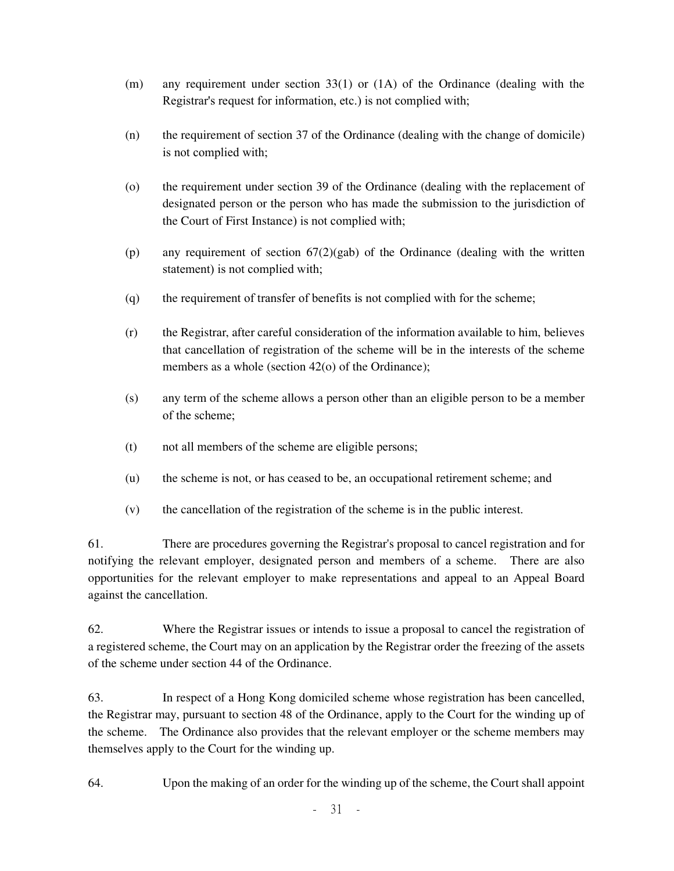- (m) any requirement under section 33(1) or (1A) of the Ordinance (dealing with the Registrar's request for information, etc.) is not complied with;
- (n) the requirement of section 37 of the Ordinance (dealing with the change of domicile) is not complied with;
- (o) the requirement under section 39 of the Ordinance (dealing with the replacement of designated person or the person who has made the submission to the jurisdiction of the Court of First Instance) is not complied with;
- (p) any requirement of section  $67(2)(\text{gab})$  of the Ordinance (dealing with the written statement) is not complied with;
- (q) the requirement of transfer of benefits is not complied with for the scheme;
- (r) the Registrar, after careful consideration of the information available to him, believes that cancellation of registration of the scheme will be in the interests of the scheme members as a whole (section 42(o) of the Ordinance);
- (s) any term of the scheme allows a person other than an eligible person to be a member of the scheme;
- (t) not all members of the scheme are eligible persons;
- (u) the scheme is not, or has ceased to be, an occupational retirement scheme; and
- (v) the cancellation of the registration of the scheme is in the public interest.

61. There are procedures governing the Registrar's proposal to cancel registration and for notifying the relevant employer, designated person and members of a scheme. There are also opportunities for the relevant employer to make representations and appeal to an Appeal Board against the cancellation.

62. Where the Registrar issues or intends to issue a proposal to cancel the registration of a registered scheme, the Court may on an application by the Registrar order the freezing of the assets of the scheme under section 44 of the Ordinance.

63. In respect of a Hong Kong domiciled scheme whose registration has been cancelled, the Registrar may, pursuant to section 48 of the Ordinance, apply to the Court for the winding up of the scheme. The Ordinance also provides that the relevant employer or the scheme members may themselves apply to the Court for the winding up.

64. Upon the making of an order for the winding up of the scheme, the Court shall appoint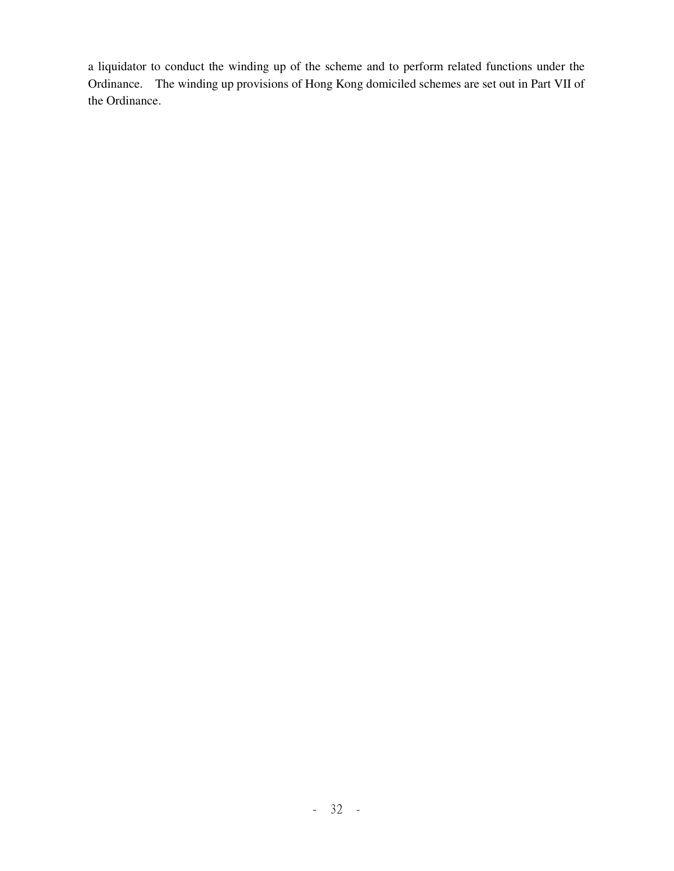a liquidator to conduct the winding up of the scheme and to perform related functions under the Ordinance. The winding up provisions of Hong Kong domiciled schemes are set out in Part VII of the Ordinance.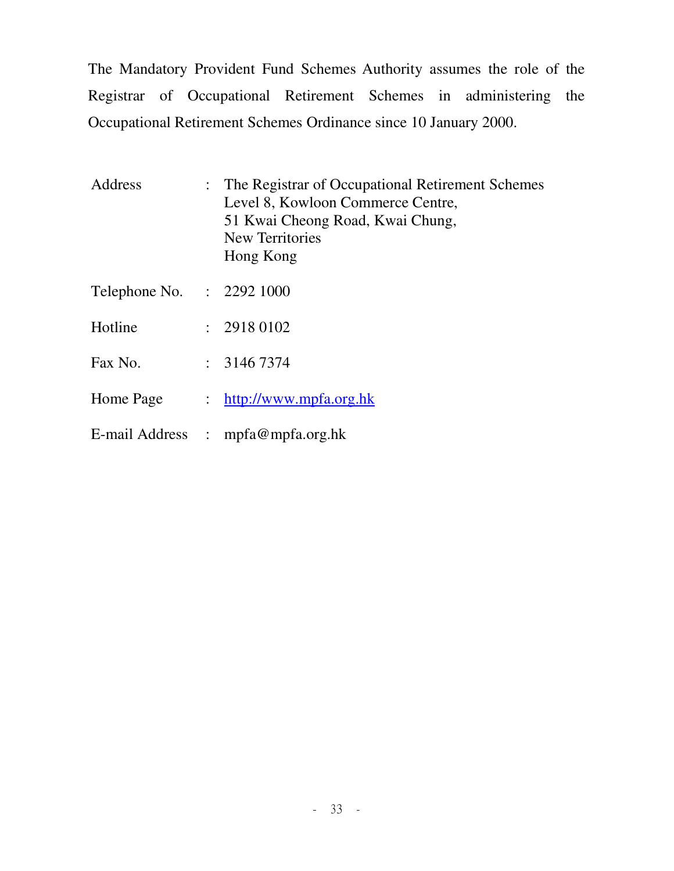The Mandatory Provident Fund Schemes Authority assumes the role of the Registrar of Occupational Retirement Schemes in administering the Occupational Retirement Schemes Ordinance since 10 January 2000.

| Address                   |                      | : The Registrar of Occupational Retirement Schemes<br>Level 8, Kowloon Commerce Centre,<br>51 Kwai Cheong Road, Kwai Chung,<br>New Territories<br>Hong Kong |
|---------------------------|----------------------|-------------------------------------------------------------------------------------------------------------------------------------------------------------|
| Telephone No. : 2292 1000 |                      |                                                                                                                                                             |
| Hotline                   |                      | : 29180102                                                                                                                                                  |
| Fax No.                   |                      | : 31467374                                                                                                                                                  |
| Home Page                 | $\ddot{\phantom{0}}$ | http://www.mpfa.org.hk                                                                                                                                      |
|                           |                      | E-mail Address : mpfa@mpfa.org.hk                                                                                                                           |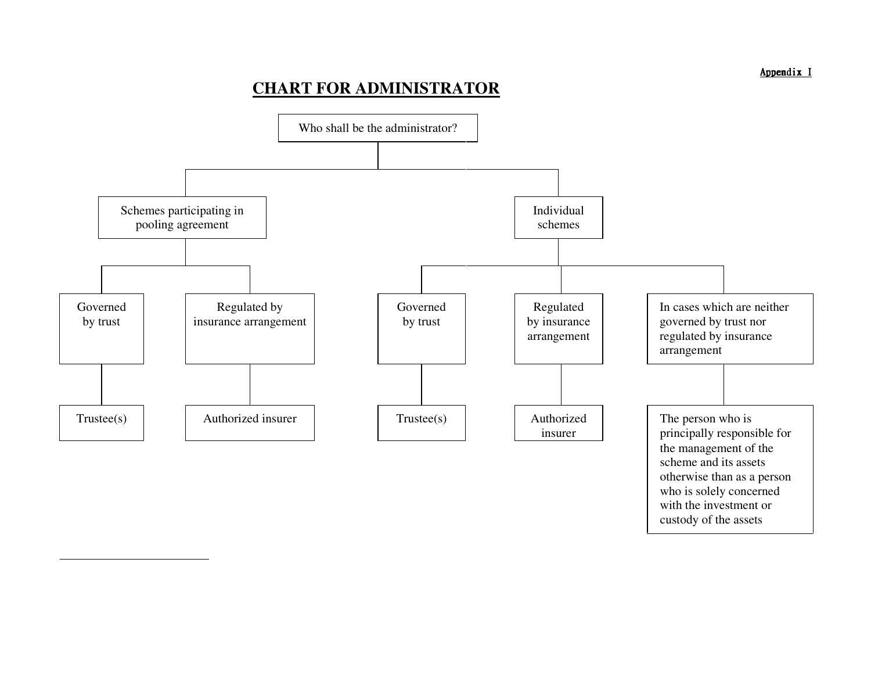